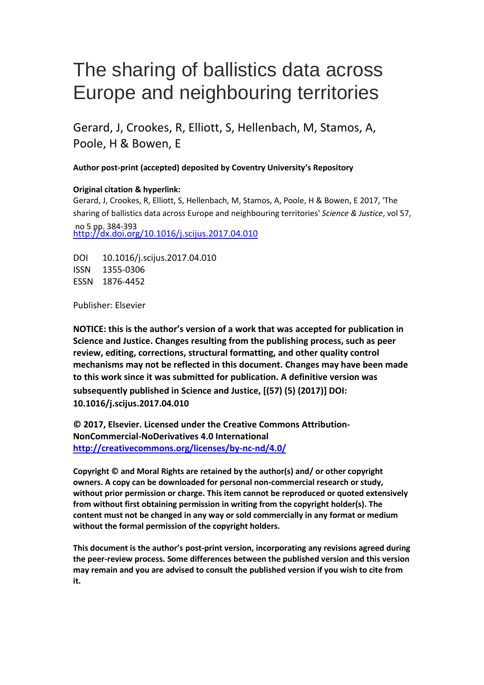# The sharing of ballistics data across Europe and neighbouring territories

Gerard, J, Crookes, R, Elliott, S, Hellenbach, M, Stamos, A, Poole, H & Bowen, E

## **Author post-print (accepted) deposited by Coventry University's Repository**

### **Original citation & hyperlink:**

Gerard, J, Crookes, R, Elliott, S, Hellenbach, M, Stamos, A, Poole, H & Bowen, E 2017, 'The sharing of ballistics data across Europe and neighbouring territories' *Science & Justice*, vol 57,

 no 5 pp. 384-393 <http://dx.doi.org/10.1016/j.scijus.2017.04.010>

DOI 10.1016/j.scijus.2017.04.010 ISSN 1355-0306 ESSN 1876-4452

Publisher: Elsevier

**NOTICE: this is the author's version of a work that was accepted for publication in Science and Justice. Changes resulting from the publishing process, such as peer review, editing, corrections, structural formatting, and other quality control mechanisms may not be reflected in this document. Changes may have been made to this work since it was submitted for publication. A definitive version was subsequently published in Science and Justice, [(57) (5) (2017)] DOI: 10.1016/j.scijus.2017.04.010** 

**© 2017, Elsevier. Licensed under the Creative Commons Attribution-NonCommercial-NoDerivatives 4.0 International <http://creativecommons.org/licenses/by-nc-nd/4.0/>**

**Copyright © and Moral Rights are retained by the author(s) and/ or other copyright owners. A copy can be downloaded for personal non-commercial research or study, without prior permission or charge. This item cannot be reproduced or quoted extensively from without first obtaining permission in writing from the copyright holder(s). The content must not be changed in any way or sold commercially in any format or medium without the formal permission of the copyright holders.** 

**This document is the author's post-print version, incorporating any revisions agreed during the peer-review process. Some differences between the published version and this version may remain and you are advised to consult the published version if you wish to cite from it.**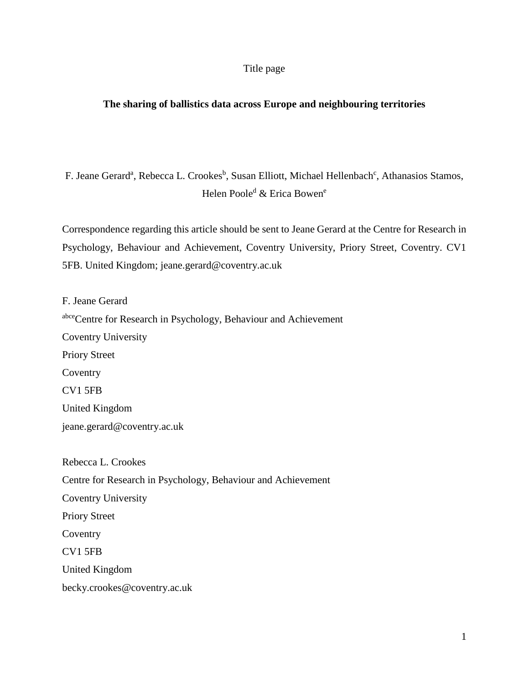## Title page

## **The sharing of ballistics data across Europe and neighbouring territories**

F. Jeane Gerard<sup>a</sup>, Rebecca L. Crookes<sup>b</sup>, Susan Elliott, Michael Hellenbach<sup>c</sup>, Athanasios Stamos, Helen Poole<sup>d</sup> & Erica Bowen<sup>e</sup>

Correspondence regarding this article should be sent to Jeane Gerard at the Centre for Research in Psychology, Behaviour and Achievement, Coventry University, Priory Street, Coventry. CV1 5FB. United Kingdom; jeane.gerard@coventry.ac.uk

F. Jeane Gerard abceCentre for Research in Psychology, Behaviour and Achievement Coventry University Priory Street Coventry CV1 5FB United Kingdom jeane.gerard@coventry.ac.uk

Rebecca L. Crookes Centre for Research in Psychology, Behaviour and Achievement Coventry University Priory Street Coventry CV1 5FB United Kingdom becky.crookes@coventry.ac.uk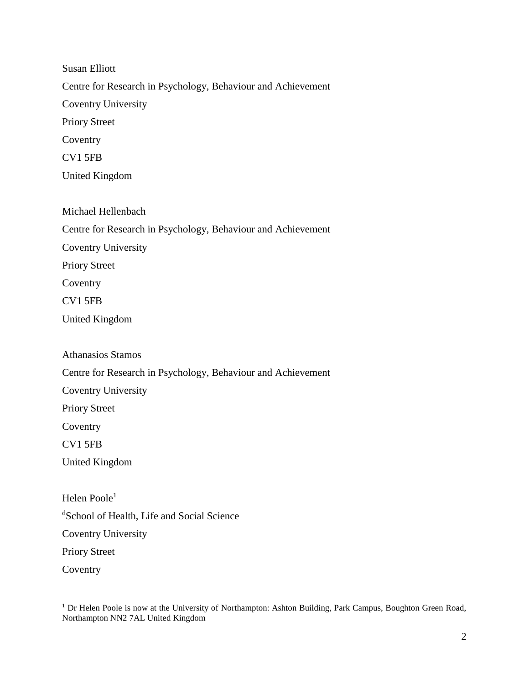Susan Elliott Centre for Research in Psychology, Behaviour and Achievement Coventry University Priory Street **Coventry** CV1 5FB United Kingdom

Michael Hellenbach

Centre for Research in Psychology, Behaviour and Achievement

Coventry University

Priory Street

**Coventry** 

CV1 5FB

United Kingdom

Athanasios Stamos

Centre for Research in Psychology, Behaviour and Achievement

Coventry University

Priory Street

Coventry

CV1 5FB

United Kingdom

Helen Poole<sup>1</sup>

<sup>d</sup>School of Health, Life and Social Science

Coventry University

Priory Street

Coventry

 $\overline{a}$ 

<sup>&</sup>lt;sup>1</sup> Dr Helen Poole is now at the University of Northampton: Ashton Building, Park Campus, Boughton Green Road, Northampton NN2 7AL United Kingdom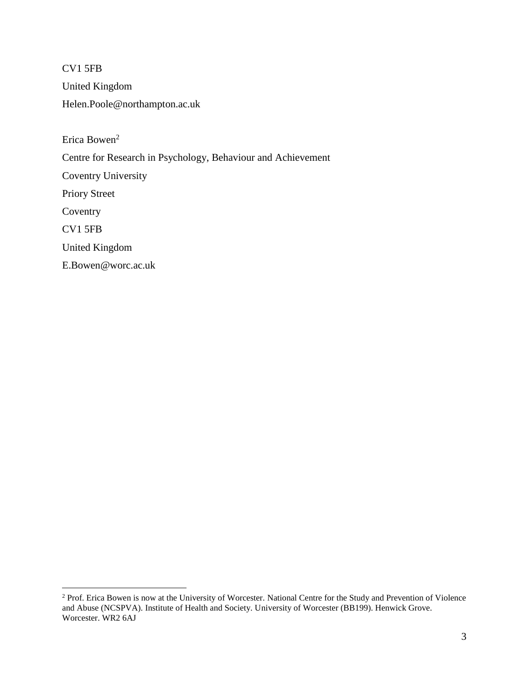CV1 5FB United Kingdom Helen.Poole@northampton.ac.uk

 $\overline{a}$ 

Erica Bowen<sup>2</sup> Centre for Research in Psychology, Behaviour and Achievement Coventry University Priory Street Coventry CV1 5FB United Kingdom E.Bowen@worc.ac.uk

<sup>&</sup>lt;sup>2</sup> Prof. Erica Bowen is now at the University of Worcester. National Centre for the Study and Prevention of Violence and Abuse (NCSPVA). Institute of Health and Society. University of Worcester (BB199). Henwick Grove. Worcester. WR2 6AJ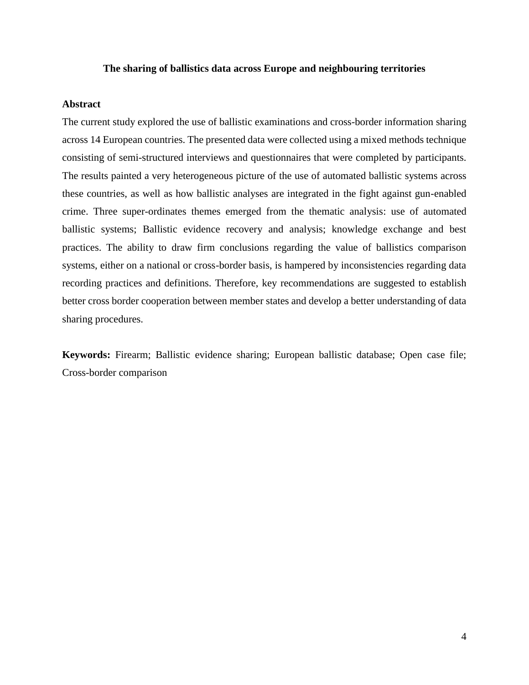#### **The sharing of ballistics data across Europe and neighbouring territories**

#### **Abstract**

The current study explored the use of ballistic examinations and cross-border information sharing across 14 European countries. The presented data were collected using a mixed methods technique consisting of semi-structured interviews and questionnaires that were completed by participants. The results painted a very heterogeneous picture of the use of automated ballistic systems across these countries, as well as how ballistic analyses are integrated in the fight against gun-enabled crime. Three super-ordinates themes emerged from the thematic analysis: use of automated ballistic systems; Ballistic evidence recovery and analysis; knowledge exchange and best practices. The ability to draw firm conclusions regarding the value of ballistics comparison systems, either on a national or cross-border basis, is hampered by inconsistencies regarding data recording practices and definitions. Therefore, key recommendations are suggested to establish better cross border cooperation between member states and develop a better understanding of data sharing procedures.

**Keywords:** Firearm; Ballistic evidence sharing; European ballistic database; Open case file; Cross-border comparison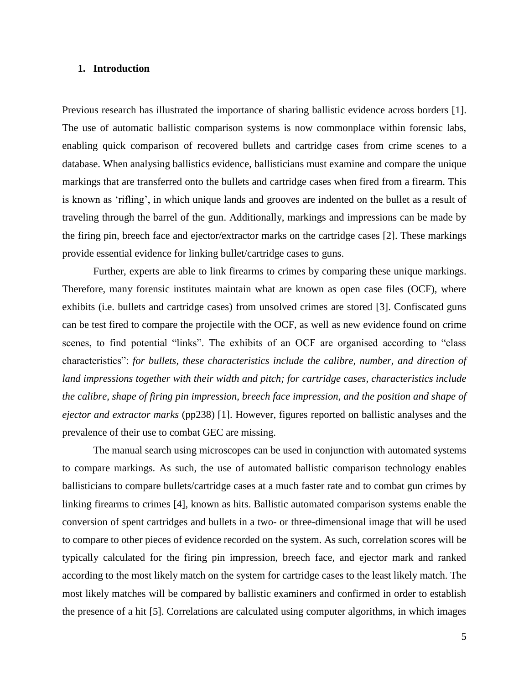### <span id="page-5-0"></span>**1. Introduction**

Previous research has illustrated the importance of sharing ballistic evidence across borders [1]. The use of automatic ballistic comparison systems is now commonplace within forensic labs, enabling quick comparison of recovered bullets and cartridge cases from crime scenes to a database. When analysing ballistics evidence, ballisticians must examine and compare the unique markings that are transferred onto the bullets and cartridge cases when fired from a firearm. This is known as 'rifling', in which unique lands and grooves are indented on the bullet as a result of traveling through the barrel of the gun. Additionally, markings and impressions can be made by the firing pin, breech face and ejector/extractor marks on the cartridge cases [2]. These markings provide essential evidence for linking bullet/cartridge cases to guns.

Further, experts are able to link firearms to crimes by comparing these unique markings. Therefore, many forensic institutes maintain what are known as open case files (OCF), where exhibits (i.e. bullets and cartridge cases) from unsolved crimes are stored [3]. Confiscated guns can be test fired to compare the projectile with the OCF, as well as new evidence found on crime scenes, to find potential "links". The exhibits of an OCF are organised according to "class characteristics": *for bullets, these characteristics include the calibre, number, and direction of land impressions together with their width and pitch; for cartridge cases, characteristics include the calibre, shape of firing pin impression, breech face impression, and the position and shape of ejector and extractor marks* (pp238) [\[1\]](#page-5-0). However, figures reported on ballistic analyses and the prevalence of their use to combat GEC are missing.

<span id="page-5-2"></span><span id="page-5-1"></span>The manual search using microscopes can be used in conjunction with automated systems to compare markings. As such, the use of automated ballistic comparison technology enables ballisticians to compare bullets/cartridge cases at a much faster rate and to combat gun crimes by linking firearms to crimes [4], known as hits. Ballistic automated comparison systems enable the conversion of spent cartridges and bullets in a two- or three-dimensional image that will be used to compare to other pieces of evidence recorded on the system. As such, correlation scores will be typically calculated for the firing pin impression, breech face, and ejector mark and ranked according to the most likely match on the system for cartridge cases to the least likely match. The most likely matches will be compared by ballistic examiners and confirmed in order to establish the presence of a hit [5]. Correlations are calculated using computer algorithms, in which images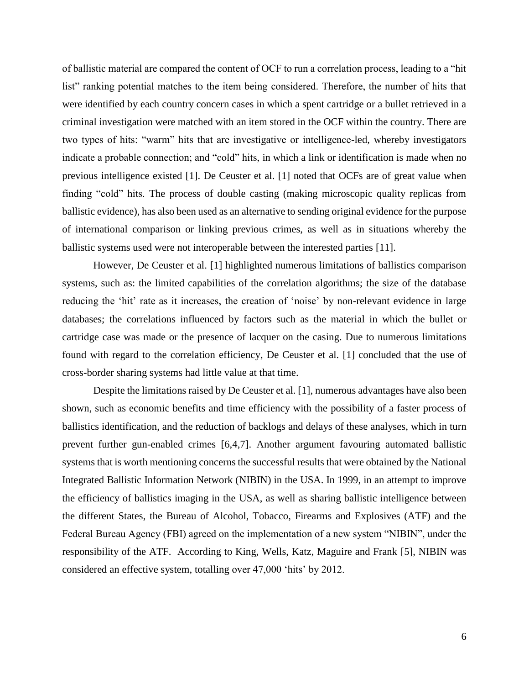of ballistic material are compared the content of OCF to run a correlation process, leading to a "hit list" ranking potential matches to the item being considered. Therefore, the number of hits that were identified by each country concern cases in which a spent cartridge or a bullet retrieved in a criminal investigation were matched with an item stored in the OCF within the country. There are two types of hits: "warm" hits that are investigative or intelligence-led, whereby investigators indicate a probable connection; and "cold" hits, in which a link or identification is made when no previous intelligence existed [\[1\]](#page-5-0). De Ceuster et al. [\[1\]](#page-5-0) noted that OCFs are of great value when finding "cold" hits. The process of double casting (making microscopic quality replicas from ballistic evidence), has also been used as an alternative to sending original evidence for the purpose of international comparison or linking previous crimes, as well as in situations whereby the ballistic systems used were not interoperable between the interested parties [\[11\]](#page-18-0).

However, De Ceuster et al. [\[1\]](#page-5-0) highlighted numerous limitations of ballistics comparison systems, such as: the limited capabilities of the correlation algorithms; the size of the database reducing the 'hit' rate as it increases, the creation of 'noise' by non-relevant evidence in large databases; the correlations influenced by factors such as the material in which the bullet or cartridge case was made or the presence of lacquer on the casing. Due to numerous limitations found with regard to the correlation efficiency, De Ceuster et al. [\[1\]](#page-5-0) concluded that the use of cross-border sharing systems had little value at that time.

Despite the limitations raised by De Ceuster et al. [\[1\]](#page-5-0), numerous advantages have also been shown, such as economic benefits and time efficiency with the possibility of a faster process of ballistics identification, and the reduction of backlogs and delays of these analyses, which in turn prevent further gun-enabled crimes [6[,4,](#page-5-1)7]. Another argument favouring automated ballistic systems that is worth mentioning concerns the successful results that were obtained by the National Integrated Ballistic Information Network (NIBIN) in the USA. In 1999, in an attempt to improve the efficiency of ballistics imaging in the USA, as well as sharing ballistic intelligence between the different States, the Bureau of Alcohol, Tobacco, Firearms and Explosives (ATF) and the Federal Bureau Agency (FBI) agreed on the implementation of a new system "NIBIN", under the responsibility of the ATF. According to King, Wells, Katz, Maguire and Frank [\[5\]](#page-5-2), NIBIN was considered an effective system, totalling over 47,000 'hits' by 2012.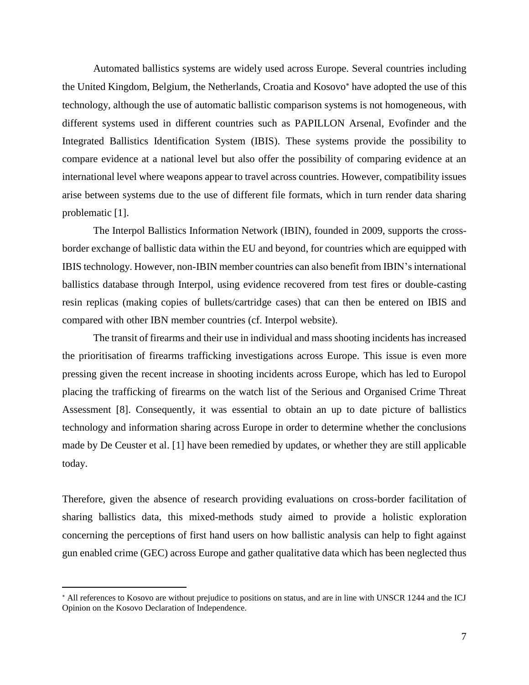Automated ballistics systems are widely used across Europe. Several countries including the United Kingdom, Belgium, the Netherlands, Croatia and Kosovo\* have adopted the use of this technology, although the use of automatic ballistic comparison systems is not homogeneous, with different systems used in different countries such as PAPILLON Arsenal, Evofinder and the Integrated Ballistics Identification System (IBIS). These systems provide the possibility to compare evidence at a national level but also offer the possibility of comparing evidence at an international level where weapons appear to travel across countries. However, compatibility issues arise between systems due to the use of different file formats, which in turn render data sharing problematic [\[1\]](#page-5-0).

The Interpol Ballistics Information Network (IBIN), founded in 2009, supports the crossborder exchange of ballistic data within the EU and beyond, for countries which are equipped with IBIS technology. However, non-IBIN member countries can also benefit from IBIN's international ballistics database through Interpol, using evidence recovered from test fires or double-casting resin replicas (making copies of bullets/cartridge cases) that can then be entered on IBIS and compared with other IBN member countries (cf. Interpol website).

 The transit of firearms and their use in individual and mass shooting incidents has increased the prioritisation of firearms trafficking investigations across Europe. This issue is even more pressing given the recent increase in shooting incidents across Europe, which has led to Europol placing the trafficking of firearms on the watch list of the Serious and Organised Crime Threat Assessment [8]. Consequently, it was essential to obtain an up to date picture of ballistics technology and information sharing across Europe in order to determine whether the conclusions made by De Ceuster et al. [\[1\]](#page-5-0) have been remedied by updates, or whether they are still applicable today.

Therefore, given the absence of research providing evaluations on cross-border facilitation of sharing ballistics data, this mixed-methods study aimed to provide a holistic exploration concerning the perceptions of first hand users on how ballistic analysis can help to fight against gun enabled crime (GEC) across Europe and gather qualitative data which has been neglected thus

 $\overline{a}$ 

 All references to Kosovo are without prejudice to positions on status, and are in line with UNSCR 1244 and the ICJ Opinion on the Kosovo Declaration of Independence.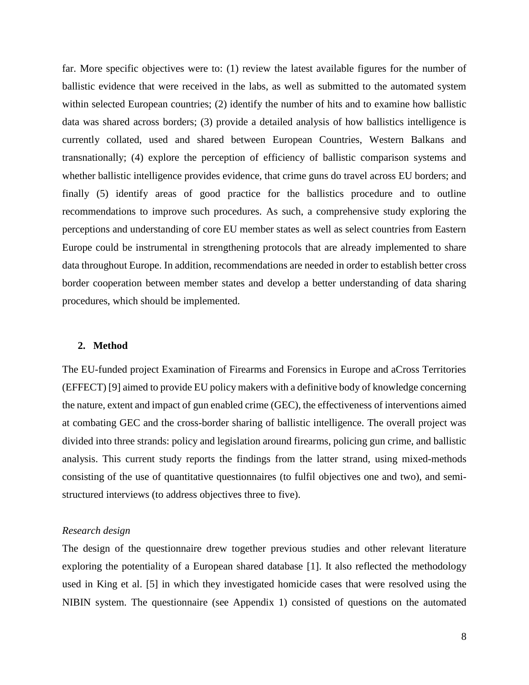far. More specific objectives were to: (1) review the latest available figures for the number of ballistic evidence that were received in the labs, as well as submitted to the automated system within selected European countries; (2) identify the number of hits and to examine how ballistic data was shared across borders; (3) provide a detailed analysis of how ballistics intelligence is currently collated, used and shared between European Countries, Western Balkans and transnationally; (4) explore the perception of efficiency of ballistic comparison systems and whether ballistic intelligence provides evidence, that crime guns do travel across EU borders; and finally (5) identify areas of good practice for the ballistics procedure and to outline recommendations to improve such procedures. As such, a comprehensive study exploring the perceptions and understanding of core EU member states as well as select countries from Eastern Europe could be instrumental in strengthening protocols that are already implemented to share data throughout Europe. In addition, recommendations are needed in order to establish better cross border cooperation between member states and develop a better understanding of data sharing procedures, which should be implemented.

#### **2. Method**

The EU-funded project Examination of Firearms and Forensics in Europe and aCross Territories (EFFECT) [9] aimed to provide EU policy makers with a definitive body of knowledge concerning the nature, extent and impact of gun enabled crime (GEC), the effectiveness of interventions aimed at combating GEC and the cross-border sharing of ballistic intelligence. The overall project was divided into three strands: policy and legislation around firearms, policing gun crime, and ballistic analysis. This current study reports the findings from the latter strand, using mixed-methods consisting of the use of quantitative questionnaires (to fulfil objectives one and two), and semistructured interviews (to address objectives three to five).

## *Research design*

The design of the questionnaire drew together previous studies and other relevant literature exploring the potentiality of a European shared database [\[1\]](#page-5-0). It also reflected the methodology used in King et al. [\[5\]](#page-5-2) in which they investigated homicide cases that were resolved using the NIBIN system. The questionnaire (see Appendix 1) consisted of questions on the automated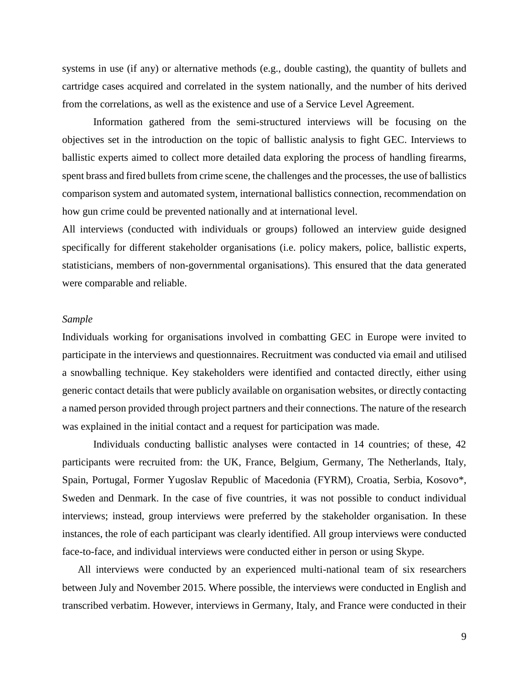systems in use (if any) or alternative methods (e.g., double casting), the quantity of bullets and cartridge cases acquired and correlated in the system nationally, and the number of hits derived from the correlations, as well as the existence and use of a Service Level Agreement.

Information gathered from the semi-structured interviews will be focusing on the objectives set in the introduction on the topic of ballistic analysis to fight GEC. Interviews to ballistic experts aimed to collect more detailed data exploring the process of handling firearms, spent brass and fired bullets from crime scene, the challenges and the processes, the use of ballistics comparison system and automated system, international ballistics connection, recommendation on how gun crime could be prevented nationally and at international level.

All interviews (conducted with individuals or groups) followed an interview guide designed specifically for different stakeholder organisations (i.e. policy makers, police, ballistic experts, statisticians, members of non-governmental organisations). This ensured that the data generated were comparable and reliable.

#### *Sample*

Individuals working for organisations involved in combatting GEC in Europe were invited to participate in the interviews and questionnaires. Recruitment was conducted via email and utilised a snowballing technique. Key stakeholders were identified and contacted directly, either using generic contact details that were publicly available on organisation websites, or directly contacting a named person provided through project partners and their connections. The nature of the research was explained in the initial contact and a request for participation was made.

 Individuals conducting ballistic analyses were contacted in 14 countries; of these, 42 participants were recruited from: the UK, France, Belgium, Germany, The Netherlands, Italy, Spain, Portugal, Former Yugoslav Republic of Macedonia (FYRM), Croatia, Serbia, Kosovo\*, Sweden and Denmark. In the case of five countries, it was not possible to conduct individual interviews; instead, group interviews were preferred by the stakeholder organisation. In these instances, the role of each participant was clearly identified. All group interviews were conducted face-to-face, and individual interviews were conducted either in person or using Skype.

All interviews were conducted by an experienced multi-national team of six researchers between July and November 2015. Where possible, the interviews were conducted in English and transcribed verbatim. However, interviews in Germany, Italy, and France were conducted in their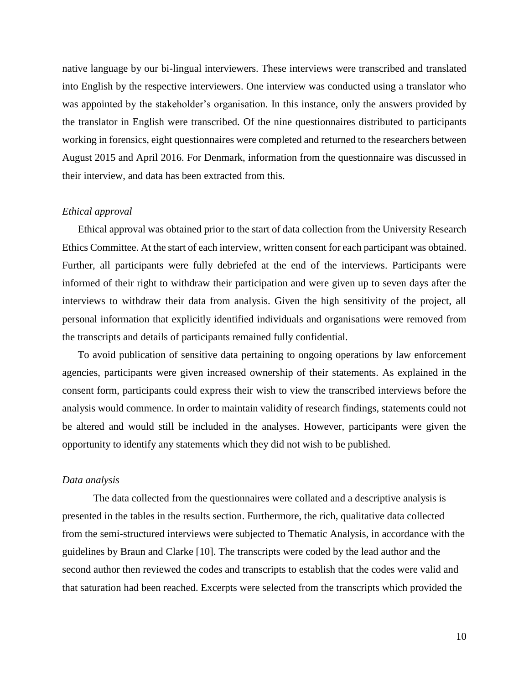native language by our bi-lingual interviewers. These interviews were transcribed and translated into English by the respective interviewers. One interview was conducted using a translator who was appointed by the stakeholder's organisation. In this instance, only the answers provided by the translator in English were transcribed. Of the nine questionnaires distributed to participants working in forensics, eight questionnaires were completed and returned to the researchers between August 2015 and April 2016. For Denmark, information from the questionnaire was discussed in their interview, and data has been extracted from this.

#### *Ethical approval*

Ethical approval was obtained prior to the start of data collection from the University Research Ethics Committee. At the start of each interview, written consent for each participant was obtained. Further, all participants were fully debriefed at the end of the interviews. Participants were informed of their right to withdraw their participation and were given up to seven days after the interviews to withdraw their data from analysis. Given the high sensitivity of the project, all personal information that explicitly identified individuals and organisations were removed from the transcripts and details of participants remained fully confidential.

To avoid publication of sensitive data pertaining to ongoing operations by law enforcement agencies, participants were given increased ownership of their statements. As explained in the consent form, participants could express their wish to view the transcribed interviews before the analysis would commence. In order to maintain validity of research findings, statements could not be altered and would still be included in the analyses. However, participants were given the opportunity to identify any statements which they did not wish to be published.

#### *Data analysis*

The data collected from the questionnaires were collated and a descriptive analysis is presented in the tables in the results section. Furthermore, the rich, qualitative data collected from the semi-structured interviews were subjected to Thematic Analysis, in accordance with the guidelines by Braun and Clarke [10]. The transcripts were coded by the lead author and the second author then reviewed the codes and transcripts to establish that the codes were valid and that saturation had been reached. Excerpts were selected from the transcripts which provided the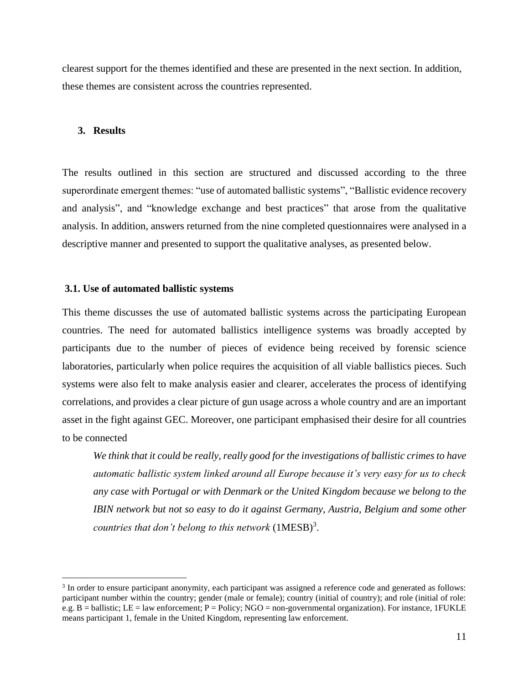clearest support for the themes identified and these are presented in the next section. In addition, these themes are consistent across the countries represented.

#### **3. Results**

 $\overline{a}$ 

The results outlined in this section are structured and discussed according to the three superordinate emergent themes: "use of automated ballistic systems", "Ballistic evidence recovery and analysis", and "knowledge exchange and best practices" that arose from the qualitative analysis. In addition, answers returned from the nine completed questionnaires were analysed in a descriptive manner and presented to support the qualitative analyses, as presented below.

#### **3.1. Use of automated ballistic systems**

This theme discusses the use of automated ballistic systems across the participating European countries. The need for automated ballistics intelligence systems was broadly accepted by participants due to the number of pieces of evidence being received by forensic science laboratories, particularly when police requires the acquisition of all viable ballistics pieces. Such systems were also felt to make analysis easier and clearer, accelerates the process of identifying correlations, and provides a clear picture of gun usage across a whole country and are an important asset in the fight against GEC. Moreover, one participant emphasised their desire for all countries to be connected

*We think that it could be really, really good for the investigations of ballistic crimes to have automatic ballistic system linked around all Europe because it's very easy for us to check any case with Portugal or with Denmark or the United Kingdom because we belong to the IBIN network but not so easy to do it against Germany, Austria, Belgium and some other*  countries that don't belong to this network (1MESB)<sup>3</sup>.

<sup>&</sup>lt;sup>3</sup> In order to ensure participant anonymity, each participant was assigned a reference code and generated as follows: participant number within the country; gender (male or female); country (initial of country); and role (initial of role: e.g.  $B =$  ballistic;  $LE =$  law enforcement;  $P =$  Policy; NGO = non-governmental organization). For instance, 1FUKLE means participant 1, female in the United Kingdom, representing law enforcement.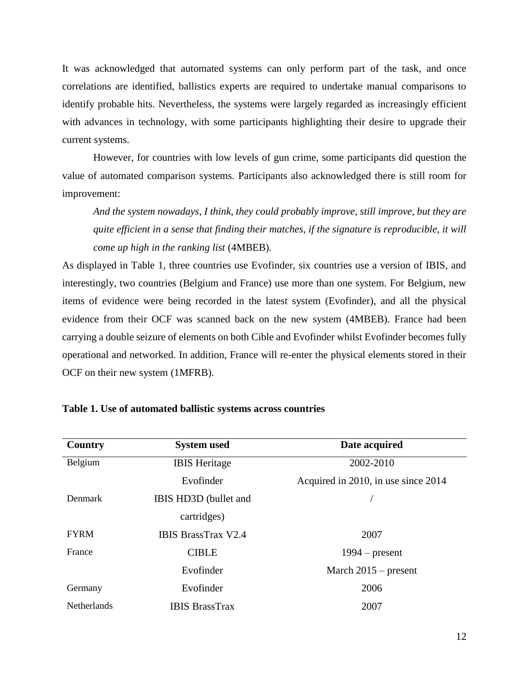It was acknowledged that automated systems can only perform part of the task, and once correlations are identified, ballistics experts are required to undertake manual comparisons to identify probable hits. Nevertheless, the systems were largely regarded as increasingly efficient with advances in technology, with some participants highlighting their desire to upgrade their current systems.

However, for countries with low levels of gun crime, some participants did question the value of automated comparison systems. Participants also acknowledged there is still room for improvement:

*And the system nowadays, I think, they could probably improve, still improve, but they are quite efficient in a sense that finding their matches, if the signature is reproducible, it will come up high in the ranking list* (4MBEB)*.*

As displayed in Table 1, three countries use Evofinder, six countries use a version of IBIS, and interestingly, two countries (Belgium and France) use more than one system. For Belgium, new items of evidence were being recorded in the latest system (Evofinder), and all the physical evidence from their OCF was scanned back on the new system (4MBEB). France had been carrying a double seizure of elements on both Cible and Evofinder whilst Evofinder becomes fully operational and networked. In addition, France will re-enter the physical elements stored in their OCF on their new system (1MFRB).

| Country            | <b>System used</b>         | Date acquired                       |
|--------------------|----------------------------|-------------------------------------|
| Belgium            | <b>IBIS</b> Heritage       | 2002-2010                           |
|                    | Evofinder                  | Acquired in 2010, in use since 2014 |
| Denmark            | IBIS HD3D (bullet and      |                                     |
|                    | cartridges)                |                                     |
| <b>FYRM</b>        | <b>IBIS BrassTrax V2.4</b> | 2007                                |
| France             | <b>CIBLE</b>               | $1994$ – present                    |
|                    | Evofinder                  | March $2015$ – present              |
| Germany            | Evofinder                  | 2006                                |
| <b>Netherlands</b> | <b>IBIS BrassTrax</b>      | 2007                                |

#### **Table 1. Use of automated ballistic systems across countries**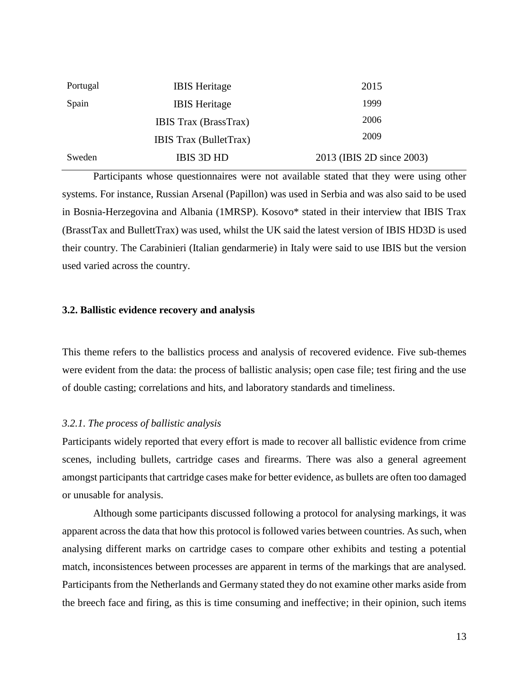| Portugal | <b>IBIS</b> Heritage          | 2015                      |
|----------|-------------------------------|---------------------------|
| Spain    | <b>IBIS</b> Heritage          | 1999                      |
|          | <b>IBIS Trax (BrassTrax)</b>  | 2006                      |
|          | <b>IBIS Trax (BulletTrax)</b> | 2009                      |
| Sweden   | <b>IBIS 3D HD</b>             | 2013 (IBIS 2D since 2003) |

 Participants whose questionnaires were not available stated that they were using other systems. For instance, Russian Arsenal (Papillon) was used in Serbia and was also said to be used in Bosnia-Herzegovina and Albania (1MRSP). Kosovo\* stated in their interview that IBIS Trax (BrasstTax and BullettTrax) was used, whilst the UK said the latest version of IBIS HD3D is used their country. The Carabinieri (Italian gendarmerie) in Italy were said to use IBIS but the version used varied across the country.

## **3.2. Ballistic evidence recovery and analysis**

This theme refers to the ballistics process and analysis of recovered evidence. Five sub-themes were evident from the data: the process of ballistic analysis; open case file; test firing and the use of double casting; correlations and hits, and laboratory standards and timeliness.

### *3.2.1*. *The process of ballistic analysis*

Participants widely reported that every effort is made to recover all ballistic evidence from crime scenes, including bullets, cartridge cases and firearms. There was also a general agreement amongst participants that cartridge cases make for better evidence, as bullets are often too damaged or unusable for analysis.

Although some participants discussed following a protocol for analysing markings, it was apparent across the data that how this protocol is followed varies between countries. As such, when analysing different marks on cartridge cases to compare other exhibits and testing a potential match, inconsistences between processes are apparent in terms of the markings that are analysed. Participants from the Netherlands and Germany stated they do not examine other marks aside from the breech face and firing, as this is time consuming and ineffective; in their opinion, such items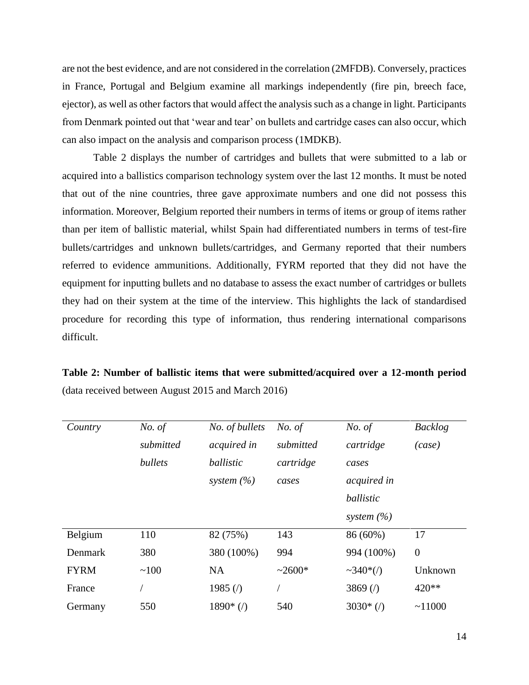are not the best evidence, and are not considered in the correlation (2MFDB). Conversely, practices in France, Portugal and Belgium examine all markings independently (fire pin, breech face, ejector), as well as other factors that would affect the analysis such as a change in light. Participants from Denmark pointed out that 'wear and tear' on bullets and cartridge cases can also occur, which can also impact on the analysis and comparison process (1MDKB).

 Table 2 displays the number of cartridges and bullets that were submitted to a lab or acquired into a ballistics comparison technology system over the last 12 months. It must be noted that out of the nine countries, three gave approximate numbers and one did not possess this information. Moreover, Belgium reported their numbers in terms of items or group of items rather than per item of ballistic material, whilst Spain had differentiated numbers in terms of test-fire bullets/cartridges and unknown bullets/cartridges, and Germany reported that their numbers referred to evidence ammunitions. Additionally, FYRM reported that they did not have the equipment for inputting bullets and no database to assess the exact number of cartridges or bullets they had on their system at the time of the interview. This highlights the lack of standardised procedure for recording this type of information, thus rendering international comparisons difficult.

**Table 2: Number of ballistic items that were submitted/acquired over a 12-month period** (data received between August 2015 and March 2016)

| Country     | No. of    | No. of bullets | No. of    | No. of         | <b>Backlog</b>   |
|-------------|-----------|----------------|-----------|----------------|------------------|
|             | submitted | acquired in    | submitted | cartridge      | (case)           |
|             | bullets   | ballistic      | cartridge | cases          |                  |
|             |           | system $(\% )$ | cases     | acquired in    |                  |
|             |           |                |           | ballistic      |                  |
|             |           |                |           | system $(\% )$ |                  |
| Belgium     | 110       | 82 (75%)       | 143       | 86 (60%)       | 17               |
| Denmark     | 380       | 380 (100%)     | 994       | 994 (100%)     | $\boldsymbol{0}$ |
| <b>FYRM</b> | ~100      | <b>NA</b>      | $~2600*$  | $~2340*(1)$    | Unknown          |
| France      |           | 1985 $($ )     |           | $3869$ (/)     | $420**$          |
| Germany     | 550       | $1890*$ (/)    | 540       | $3030*(1)$     | ~11000           |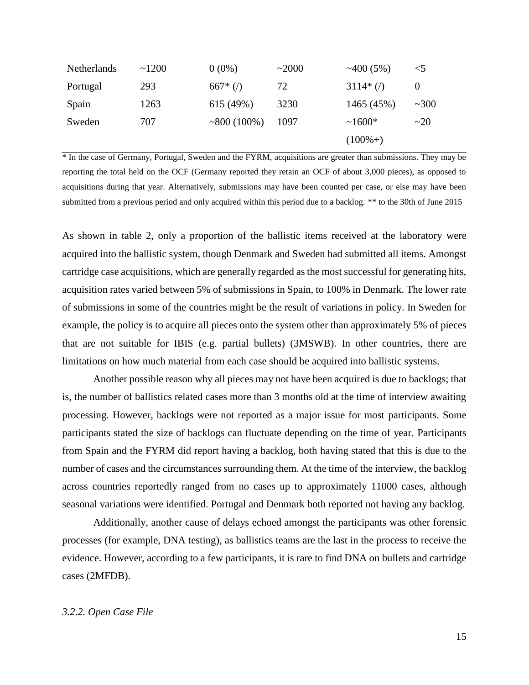| <b>Netherlands</b> | ~1200 | $0(0\%)$  | ~2000 | $~1400(5\%)$ | $\leq$ 5 |
|--------------------|-------|-----------|-------|--------------|----------|
| Portugal           | 293   | $667*(7)$ | 72    | $3114*()$    | $\theta$ |
| Spain              | 1263  | 615 (49%) | 3230  | 1465 (45%)   | ~100     |
| Sweden             | 707   | $~100\%$  | 1097  | $~1600*$     | ~20      |
|                    |       |           |       | $(100\% + )$ |          |

\* In the case of Germany, Portugal, Sweden and the FYRM, acquisitions are greater than submissions. They may be reporting the total held on the OCF (Germany reported they retain an OCF of about 3,000 pieces), as opposed to acquisitions during that year. Alternatively, submissions may have been counted per case, or else may have been submitted from a previous period and only acquired within this period due to a backlog. \*\* to the 30th of June 2015

As shown in table 2, only a proportion of the ballistic items received at the laboratory were acquired into the ballistic system, though Denmark and Sweden had submitted all items. Amongst cartridge case acquisitions, which are generally regarded as the most successful for generating hits, acquisition rates varied between 5% of submissions in Spain, to 100% in Denmark. The lower rate of submissions in some of the countries might be the result of variations in policy. In Sweden for example, the policy is to acquire all pieces onto the system other than approximately 5% of pieces that are not suitable for IBIS (e.g. partial bullets) (3MSWB). In other countries, there are limitations on how much material from each case should be acquired into ballistic systems.

Another possible reason why all pieces may not have been acquired is due to backlogs; that is, the number of ballistics related cases more than 3 months old at the time of interview awaiting processing. However, backlogs were not reported as a major issue for most participants. Some participants stated the size of backlogs can fluctuate depending on the time of year. Participants from Spain and the FYRM did report having a backlog, both having stated that this is due to the number of cases and the circumstances surrounding them. At the time of the interview, the backlog across countries reportedly ranged from no cases up to approximately 11000 cases, although seasonal variations were identified. Portugal and Denmark both reported not having any backlog.

Additionally, another cause of delays echoed amongst the participants was other forensic processes (for example, DNA testing), as ballistics teams are the last in the process to receive the evidence. However, according to a few participants, it is rare to find DNA on bullets and cartridge cases (2MFDB).

#### *3.2.2. Open Case File*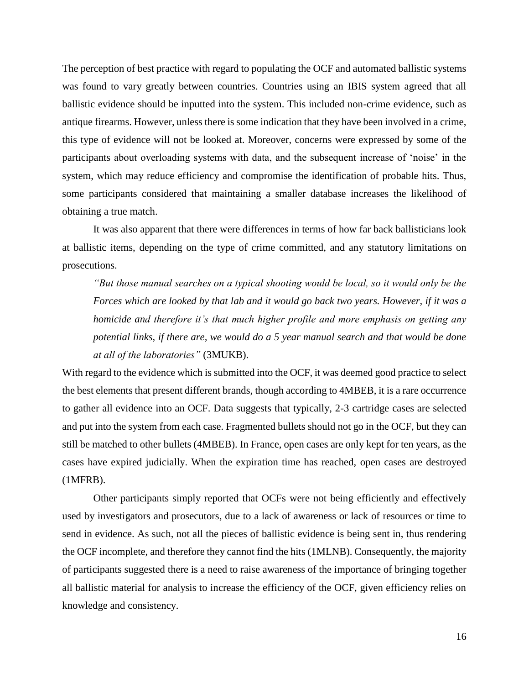The perception of best practice with regard to populating the OCF and automated ballistic systems was found to vary greatly between countries. Countries using an IBIS system agreed that all ballistic evidence should be inputted into the system. This included non-crime evidence, such as antique firearms. However, unless there is some indication that they have been involved in a crime, this type of evidence will not be looked at. Moreover, concerns were expressed by some of the participants about overloading systems with data, and the subsequent increase of 'noise' in the system, which may reduce efficiency and compromise the identification of probable hits. Thus, some participants considered that maintaining a smaller database increases the likelihood of obtaining a true match.

 It was also apparent that there were differences in terms of how far back ballisticians look at ballistic items, depending on the type of crime committed, and any statutory limitations on prosecutions.

*"But those manual searches on a typical shooting would be local, so it would only be the Forces which are looked by that lab and it would go back two years. However, if it was a homicide and therefore it's that much higher profile and more emphasis on getting any potential links, if there are, we would do a 5 year manual search and that would be done at all of the laboratories"* (3MUKB).

With regard to the evidence which is submitted into the OCF, it was deemed good practice to select the best elements that present different brands, though according to 4MBEB, it is a rare occurrence to gather all evidence into an OCF. Data suggests that typically, 2-3 cartridge cases are selected and put into the system from each case. Fragmented bullets should not go in the OCF, but they can still be matched to other bullets (4MBEB). In France, open cases are only kept for ten years, as the cases have expired judicially. When the expiration time has reached, open cases are destroyed (1MFRB).

 Other participants simply reported that OCFs were not being efficiently and effectively used by investigators and prosecutors, due to a lack of awareness or lack of resources or time to send in evidence. As such, not all the pieces of ballistic evidence is being sent in, thus rendering the OCF incomplete, and therefore they cannot find the hits (1MLNB). Consequently, the majority of participants suggested there is a need to raise awareness of the importance of bringing together all ballistic material for analysis to increase the efficiency of the OCF, given efficiency relies on knowledge and consistency.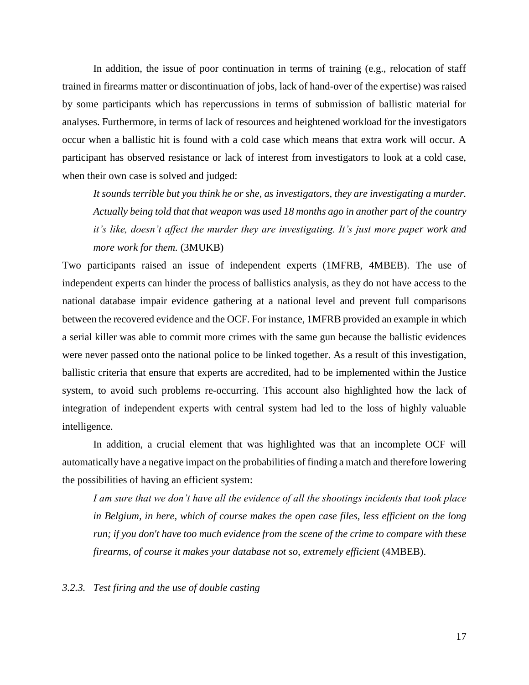In addition, the issue of poor continuation in terms of training (e.g., relocation of staff trained in firearms matter or discontinuation of jobs, lack of hand-over of the expertise) was raised by some participants which has repercussions in terms of submission of ballistic material for analyses. Furthermore, in terms of lack of resources and heightened workload for the investigators occur when a ballistic hit is found with a cold case which means that extra work will occur. A participant has observed resistance or lack of interest from investigators to look at a cold case, when their own case is solved and judged:

*It sounds terrible but you think he or she, as investigators, they are investigating a murder. Actually being told that that weapon was used 18 months ago in another part of the country it's like, doesn't affect the murder they are investigating. It's just more paper work and more work for them.* (3MUKB)

Two participants raised an issue of independent experts (1MFRB, 4MBEB). The use of independent experts can hinder the process of ballistics analysis, as they do not have access to the national database impair evidence gathering at a national level and prevent full comparisons between the recovered evidence and the OCF. For instance, 1MFRB provided an example in which a serial killer was able to commit more crimes with the same gun because the ballistic evidences were never passed onto the national police to be linked together. As a result of this investigation, ballistic criteria that ensure that experts are accredited, had to be implemented within the Justice system, to avoid such problems re-occurring. This account also highlighted how the lack of integration of independent experts with central system had led to the loss of highly valuable intelligence.

In addition, a crucial element that was highlighted was that an incomplete OCF will automatically have a negative impact on the probabilities of finding a match and therefore lowering the possibilities of having an efficient system:

*I am sure that we don't have all the evidence of all the shootings incidents that took place in Belgium, in here, which of course makes the open case files, less efficient on the long run; if you don't have too much evidence from the scene of the crime to compare with these firearms, of course it makes your database not so, extremely efficient* (4MBEB).

*3.2.3. Test firing and the use of double casting*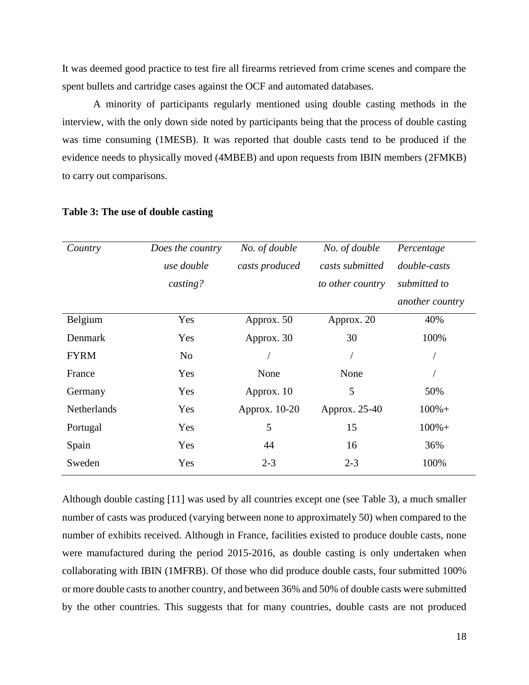It was deemed good practice to test fire all firearms retrieved from crime scenes and compare the spent bullets and cartridge cases against the OCF and automated databases.

A minority of participants regularly mentioned using double casting methods in the interview, with the only down side noted by participants being that the process of double casting was time consuming (1MESB). It was reported that double casts tend to be produced if the evidence needs to physically moved (4MBEB) and upon requests from IBIN members (2FMKB) to carry out comparisons.

| Country            | Does the country | No. of double  | No. of double    | Percentage      |
|--------------------|------------------|----------------|------------------|-----------------|
|                    | use double       | casts produced | casts submitted  | double-casts    |
|                    | casting?         |                | to other country | submitted to    |
|                    |                  |                |                  | another country |
| Belgium            | Yes              | Approx. 50     | Approx. 20       | 40%             |
| Denmark            | Yes              | Approx. 30     | 30               | 100%            |
| <b>FYRM</b>        | N <sub>0</sub>   |                |                  |                 |
| France             | Yes              | None           | None             |                 |
| Germany            | Yes              | Approx. 10     | 5                | 50%             |
| <b>Netherlands</b> | Yes              | Approx. 10-20  | Approx. 25-40    | $100% +$        |
| Portugal           | Yes              | 5              | 15               | $100% +$        |
| Spain              | Yes              | 44             | 16               | 36%             |
| Sweden             | Yes              | $2 - 3$        | $2 - 3$          | 100%            |

#### **Table 3: The use of double casting**

<span id="page-18-0"></span>Although double casting [11] was used by all countries except one (see Table 3), a much smaller number of casts was produced (varying between none to approximately 50) when compared to the number of exhibits received. Although in France, facilities existed to produce double casts, none were manufactured during the period 2015-2016, as double casting is only undertaken when collaborating with IBIN (1MFRB). Of those who did produce double casts, four submitted 100% or more double casts to another country, and between 36% and 50% of double casts were submitted by the other countries. This suggests that for many countries, double casts are not produced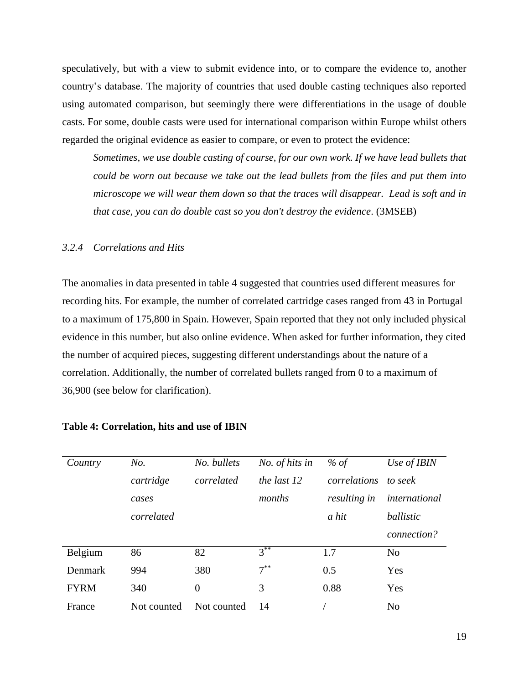speculatively, but with a view to submit evidence into, or to compare the evidence to, another country's database. The majority of countries that used double casting techniques also reported using automated comparison, but seemingly there were differentiations in the usage of double casts. For some, double casts were used for international comparison within Europe whilst others regarded the original evidence as easier to compare, or even to protect the evidence:

*Sometimes, we use double casting of course, for our own work. If we have lead bullets that could be worn out because we take out the lead bullets from the files and put them into microscope we will wear them down so that the traces will disappear. Lead is soft and in that case, you can do double cast so you don't destroy the evidence*. (3MSEB)

## *3.2.4 Correlations and Hits*

The anomalies in data presented in table 4 suggested that countries used different measures for recording hits. For example, the number of correlated cartridge cases ranged from 43 in Portugal to a maximum of 175,800 in Spain. However, Spain reported that they not only included physical evidence in this number, but also online evidence. When asked for further information, they cited the number of acquired pieces, suggesting different understandings about the nature of a correlation. Additionally, the number of correlated bullets ranged from 0 to a maximum of 36,900 (see below for clarification).

| Country     | No.         | No. bullets | No. of hits in | % of         | Use of IBIN        |
|-------------|-------------|-------------|----------------|--------------|--------------------|
|             | cartridge   | correlated  | the last 12    | correlations | to seek            |
|             | cases       |             | months         | resulting in | international      |
|             | correlated  |             |                | a hit        | ballistic          |
|             |             |             |                |              | <i>connection?</i> |
| Belgium     | 86          | 82          | $3^{**}$       | 1.7          | N <sub>o</sub>     |
| Denmark     | 994         | 380         | $7^{**}$       | 0.5          | Yes                |
| <b>FYRM</b> | 340         | $\theta$    | 3              | 0.88         | Yes                |
| France      | Not counted | Not counted | 14             |              | N <sub>o</sub>     |

#### **Table 4: Correlation, hits and use of IBIN**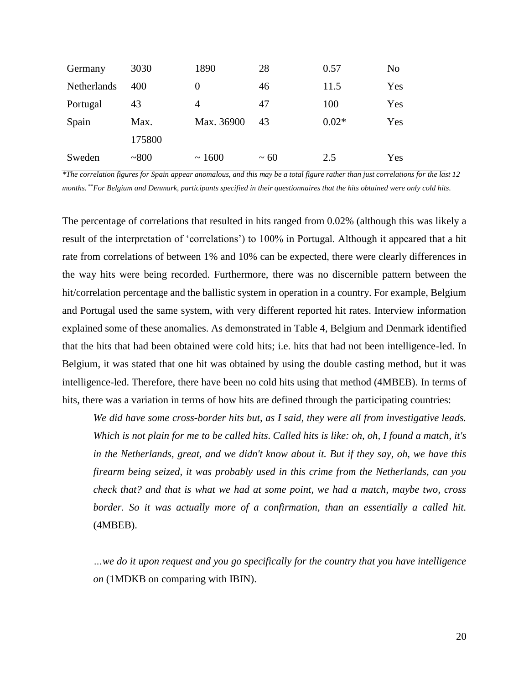| Germany            | 3030   | 1890       | 28      | 0.57    | N <sub>o</sub> |
|--------------------|--------|------------|---------|---------|----------------|
| <b>Netherlands</b> | 400    | 0          | 46      | 11.5    | Yes            |
| Portugal           | 43     | 4          | 47      | 100     | Yes            |
| Spain              | Max.   | Max. 36900 | 43      | $0.02*$ | Yes            |
|                    | 175800 |            |         |         |                |
| Sweden             | ~100   | ~1600      | $~1$ 60 | 2.5     | Yes            |

*\*The correlation figures for Spain appear anomalous, and this may be a total figure rather than just correlations for the last 12 months. \*\*For Belgium and Denmark, participants specified in their questionnaires that the hits obtained were only cold hits.* 

The percentage of correlations that resulted in hits ranged from 0.02% (although this was likely a result of the interpretation of 'correlations') to 100% in Portugal. Although it appeared that a hit rate from correlations of between 1% and 10% can be expected, there were clearly differences in the way hits were being recorded. Furthermore, there was no discernible pattern between the hit/correlation percentage and the ballistic system in operation in a country. For example, Belgium and Portugal used the same system, with very different reported hit rates. Interview information explained some of these anomalies. As demonstrated in Table 4, Belgium and Denmark identified that the hits that had been obtained were cold hits; i.e. hits that had not been intelligence-led. In Belgium, it was stated that one hit was obtained by using the double casting method, but it was intelligence-led. Therefore, there have been no cold hits using that method (4MBEB). In terms of hits, there was a variation in terms of how hits are defined through the participating countries:

*We did have some cross-border hits but, as I said, they were all from investigative leads. Which is not plain for me to be called hits. Called hits is like: oh, oh, I found a match, it's in the Netherlands, great, and we didn't know about it. But if they say, oh, we have this firearm being seized, it was probably used in this crime from the Netherlands, can you check that? and that is what we had at some point, we had a match, maybe two, cross border. So it was actually more of a confirmation, than an essentially a called hit.* (4MBEB).

*…we do it upon request and you go specifically for the country that you have intelligence on* (1MDKB on comparing with IBIN).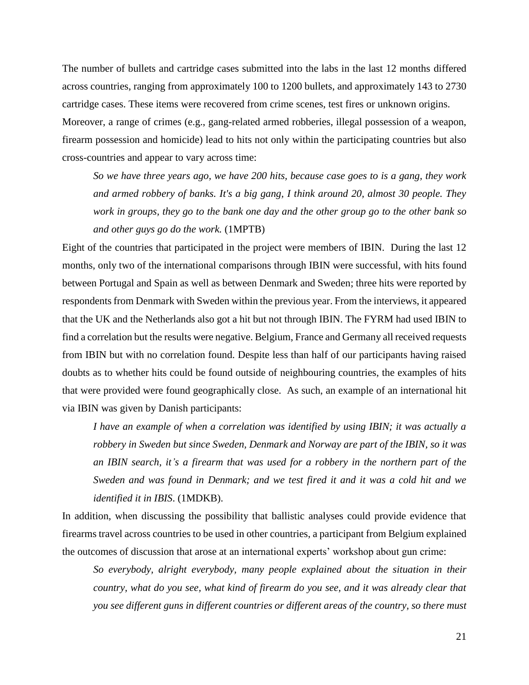The number of bullets and cartridge cases submitted into the labs in the last 12 months differed across countries, ranging from approximately 100 to 1200 bullets, and approximately 143 to 2730 cartridge cases. These items were recovered from crime scenes, test fires or unknown origins. Moreover, a range of crimes (e.g., gang-related armed robberies, illegal possession of a weapon, firearm possession and homicide) lead to hits not only within the participating countries but also cross-countries and appear to vary across time:

*So we have three years ago, we have 200 hits, because case goes to is a gang, they work and armed robbery of banks. It's a big gang, I think around 20, almost 30 people. They work in groups, they go to the bank one day and the other group go to the other bank so and other guys go do the work.* (1MPTB)

Eight of the countries that participated in the project were members of IBIN. During the last 12 months, only two of the international comparisons through IBIN were successful, with hits found between Portugal and Spain as well as between Denmark and Sweden; three hits were reported by respondents from Denmark with Sweden within the previous year. From the interviews, it appeared that the UK and the Netherlands also got a hit but not through IBIN. The FYRM had used IBIN to find a correlation but the results were negative. Belgium, France and Germany all received requests from IBIN but with no correlation found. Despite less than half of our participants having raised doubts as to whether hits could be found outside of neighbouring countries, the examples of hits that were provided were found geographically close. As such, an example of an international hit via IBIN was given by Danish participants:

*I have an example of when a correlation was identified by using IBIN; it was actually a robbery in Sweden but since Sweden, Denmark and Norway are part of the IBIN, so it was an IBIN search, it's a firearm that was used for a robbery in the northern part of the Sweden and was found in Denmark; and we test fired it and it was a cold hit and we identified it in IBIS*. (1MDKB).

In addition, when discussing the possibility that ballistic analyses could provide evidence that firearms travel across countries to be used in other countries, a participant from Belgium explained the outcomes of discussion that arose at an international experts' workshop about gun crime:

*So everybody, alright everybody, many people explained about the situation in their country, what do you see, what kind of firearm do you see, and it was already clear that you see different guns in different countries or different areas of the country, so there must*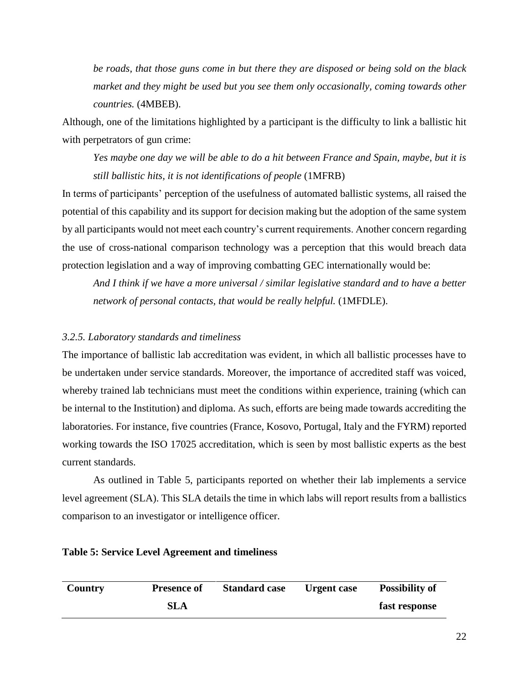*be roads, that those guns come in but there they are disposed or being sold on the black market and they might be used but you see them only occasionally, coming towards other countries.* (4MBEB).

Although, one of the limitations highlighted by a participant is the difficulty to link a ballistic hit with perpetrators of gun crime:

*Yes maybe one day we will be able to do a hit between France and Spain, maybe, but it is still ballistic hits, it is not identifications of people* (1MFRB)

In terms of participants' perception of the usefulness of automated ballistic systems, all raised the potential of this capability and its support for decision making but the adoption of the same system by all participants would not meet each country's current requirements. Another concern regarding the use of cross-national comparison technology was a perception that this would breach data protection legislation and a way of improving combatting GEC internationally would be:

*And I think if we have a more universal / similar legislative standard and to have a better network of personal contacts, that would be really helpful.* (1MFDLE).

## *3.2.5. Laboratory standards and timeliness*

The importance of ballistic lab accreditation was evident, in which all ballistic processes have to be undertaken under service standards. Moreover, the importance of accredited staff was voiced, whereby trained lab technicians must meet the conditions within experience, training (which can be internal to the Institution) and diploma. As such, efforts are being made towards accrediting the laboratories. For instance, five countries (France, Kosovo, Portugal, Italy and the FYRM) reported working towards the ISO 17025 accreditation, which is seen by most ballistic experts as the best current standards.

 As outlined in Table 5, participants reported on whether their lab implements a service level agreement (SLA). This SLA details the time in which labs will report results from a ballistics comparison to an investigator or intelligence officer.

#### **Table 5: Service Level Agreement and timeliness**

| Country | <b>Presence of</b> | <b>Standard case</b> | Urgent case | <b>Possibility of</b> |
|---------|--------------------|----------------------|-------------|-----------------------|
|         | <b>SLA</b>         |                      |             | fast response         |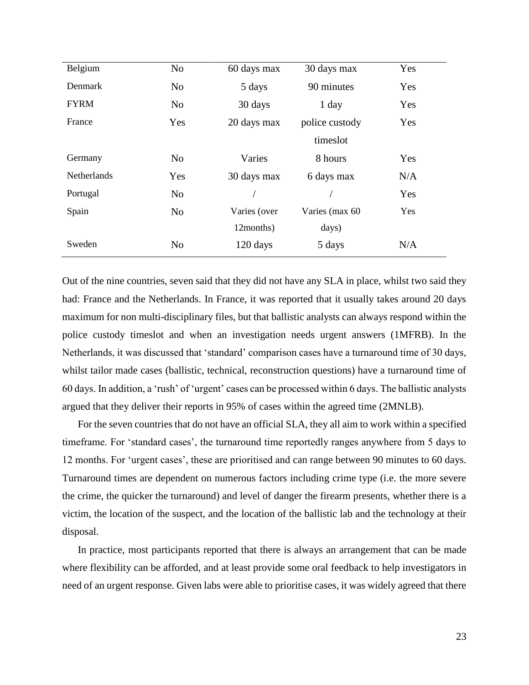| Belgium            | N <sub>o</sub> | 60 days max  | 30 days max    | Yes |
|--------------------|----------------|--------------|----------------|-----|
| <b>Denmark</b>     | N <sub>o</sub> | 5 days       | 90 minutes     | Yes |
| <b>FYRM</b>        | N <sub>o</sub> | 30 days      | $1$ day        | Yes |
| France             | Yes            | 20 days max  | police custody | Yes |
|                    |                |              | timeslot       |     |
| Germany            | N <sub>o</sub> | Varies       | 8 hours        | Yes |
| <b>Netherlands</b> | Yes            | 30 days max  | 6 days max     | N/A |
| Portugal           | No             |              |                | Yes |
| Spain              | N <sub>o</sub> | Varies (over | Varies (max 60 | Yes |
|                    |                | 12 months)   | days)          |     |
| Sweden             | N <sub>o</sub> | 120 days     | 5 days         | N/A |

Out of the nine countries, seven said that they did not have any SLA in place, whilst two said they had: France and the Netherlands. In France, it was reported that it usually takes around 20 days maximum for non multi-disciplinary files, but that ballistic analysts can always respond within the police custody timeslot and when an investigation needs urgent answers (1MFRB). In the Netherlands, it was discussed that 'standard' comparison cases have a turnaround time of 30 days, whilst tailor made cases (ballistic, technical, reconstruction questions) have a turnaround time of 60 days. In addition, a 'rush' of 'urgent' cases can be processed within 6 days. The ballistic analysts argued that they deliver their reports in 95% of cases within the agreed time (2MNLB).

For the seven countries that do not have an official SLA, they all aim to work within a specified timeframe. For 'standard cases', the turnaround time reportedly ranges anywhere from 5 days to 12 months. For 'urgent cases', these are prioritised and can range between 90 minutes to 60 days. Turnaround times are dependent on numerous factors including crime type (i.e. the more severe the crime, the quicker the turnaround) and level of danger the firearm presents, whether there is a victim, the location of the suspect, and the location of the ballistic lab and the technology at their disposal.

In practice, most participants reported that there is always an arrangement that can be made where flexibility can be afforded, and at least provide some oral feedback to help investigators in need of an urgent response. Given labs were able to prioritise cases, it was widely agreed that there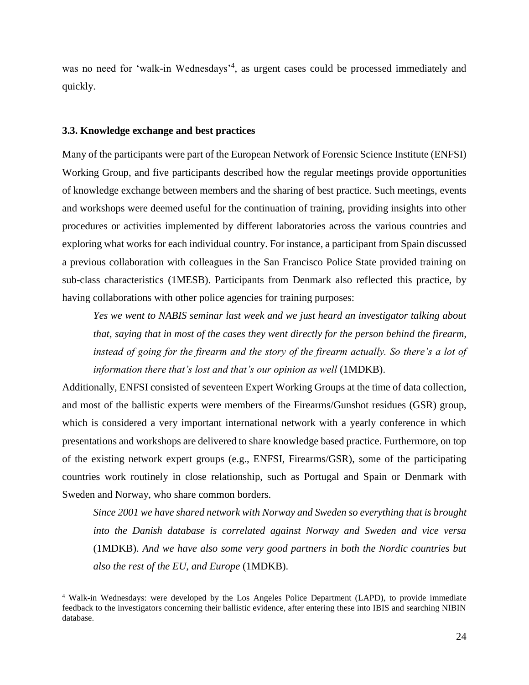was no need for 'walk-in Wednesdays'<sup>4</sup>, as urgent cases could be processed immediately and quickly.

#### **3.3. Knowledge exchange and best practices**

 $\overline{a}$ 

Many of the participants were part of the European Network of Forensic Science Institute (ENFSI) Working Group, and five participants described how the regular meetings provide opportunities of knowledge exchange between members and the sharing of best practice. Such meetings, events and workshops were deemed useful for the continuation of training, providing insights into other procedures or activities implemented by different laboratories across the various countries and exploring what works for each individual country. For instance, a participant from Spain discussed a previous collaboration with colleagues in the San Francisco Police State provided training on sub-class characteristics (1MESB). Participants from Denmark also reflected this practice, by having collaborations with other police agencies for training purposes:

*Yes we went to NABIS seminar last week and we just heard an investigator talking about that, saying that in most of the cases they went directly for the person behind the firearm, instead of going for the firearm and the story of the firearm actually. So there's a lot of information there that's lost and that's our opinion as well* (1MDKB).

Additionally, ENFSI consisted of seventeen Expert Working Groups at the time of data collection, and most of the ballistic experts were members of the Firearms/Gunshot residues (GSR) group, which is considered a very important international network with a yearly conference in which presentations and workshops are delivered to share knowledge based practice. Furthermore, on top of the existing network expert groups (e.g., ENFSI, Firearms/GSR), some of the participating countries work routinely in close relationship, such as Portugal and Spain or Denmark with Sweden and Norway, who share common borders.

*Since 2001 we have shared network with Norway and Sweden so everything that is brought into the Danish database is correlated against Norway and Sweden and vice versa*  (1MDKB). *And we have also some very good partners in both the Nordic countries but also the rest of the EU, and Europe* (1MDKB).

<sup>4</sup> Walk-in Wednesdays: were developed by the Los Angeles Police Department (LAPD), to provide immediate feedback to the investigators concerning their ballistic evidence, after entering these into IBIS and searching NIBIN database.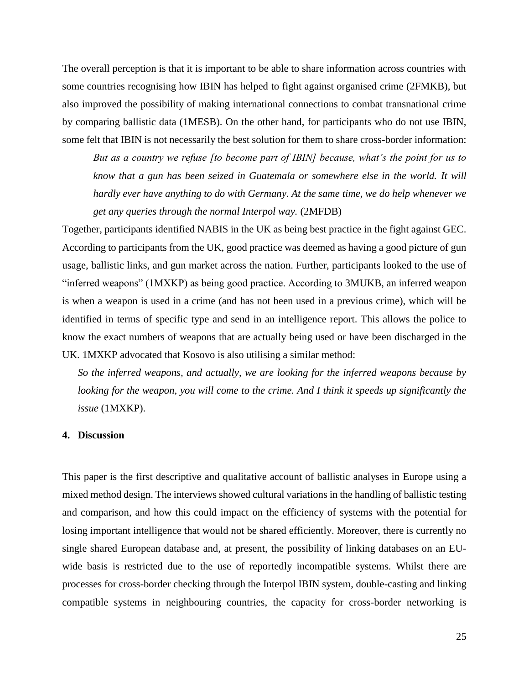The overall perception is that it is important to be able to share information across countries with some countries recognising how IBIN has helped to fight against organised crime (2FMKB), but also improved the possibility of making international connections to combat transnational crime by comparing ballistic data (1MESB). On the other hand, for participants who do not use IBIN, some felt that IBIN is not necessarily the best solution for them to share cross-border information:

*But as a country we refuse [to become part of IBIN] because, what's the point for us to know that a gun has been seized in Guatemala or somewhere else in the world. It will hardly ever have anything to do with Germany. At the same time, we do help whenever we get any queries through the normal Interpol way.* (2MFDB)

Together, participants identified NABIS in the UK as being best practice in the fight against GEC. According to participants from the UK, good practice was deemed as having a good picture of gun usage, ballistic links, and gun market across the nation. Further, participants looked to the use of "inferred weapons" (1MXKP) as being good practice. According to 3MUKB, an inferred weapon is when a weapon is used in a crime (and has not been used in a previous crime), which will be identified in terms of specific type and send in an intelligence report. This allows the police to know the exact numbers of weapons that are actually being used or have been discharged in the UK. 1MXKP advocated that Kosovo is also utilising a similar method:

*So the inferred weapons, and actually, we are looking for the inferred weapons because by looking for the weapon, you will come to the crime. And I think it speeds up significantly the issue* (1MXKP).

### **4. Discussion**

This paper is the first descriptive and qualitative account of ballistic analyses in Europe using a mixed method design. The interviews showed cultural variations in the handling of ballistic testing and comparison, and how this could impact on the efficiency of systems with the potential for losing important intelligence that would not be shared efficiently. Moreover, there is currently no single shared European database and, at present, the possibility of linking databases on an EUwide basis is restricted due to the use of reportedly incompatible systems. Whilst there are processes for cross-border checking through the Interpol IBIN system, double-casting and linking compatible systems in neighbouring countries, the capacity for cross-border networking is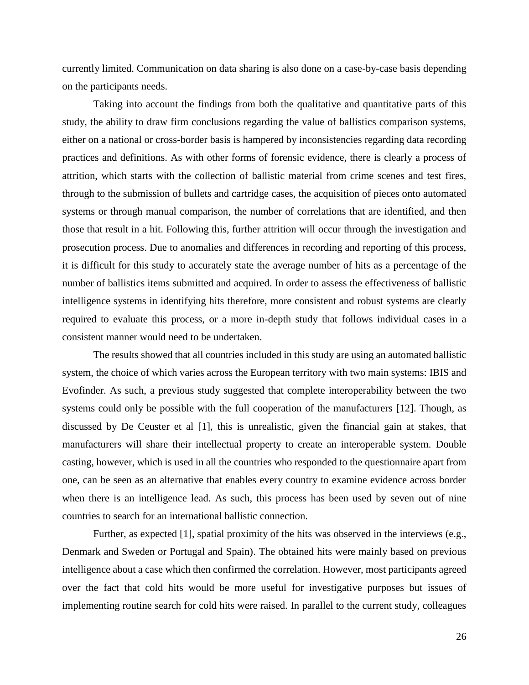currently limited. Communication on data sharing is also done on a case-by-case basis depending on the participants needs.

 Taking into account the findings from both the qualitative and quantitative parts of this study, the ability to draw firm conclusions regarding the value of ballistics comparison systems, either on a national or cross-border basis is hampered by inconsistencies regarding data recording practices and definitions. As with other forms of forensic evidence, there is clearly a process of attrition, which starts with the collection of ballistic material from crime scenes and test fires, through to the submission of bullets and cartridge cases, the acquisition of pieces onto automated systems or through manual comparison, the number of correlations that are identified, and then those that result in a hit. Following this, further attrition will occur through the investigation and prosecution process. Due to anomalies and differences in recording and reporting of this process, it is difficult for this study to accurately state the average number of hits as a percentage of the number of ballistics items submitted and acquired. In order to assess the effectiveness of ballistic intelligence systems in identifying hits therefore, more consistent and robust systems are clearly required to evaluate this process, or a more in-depth study that follows individual cases in a consistent manner would need to be undertaken.

The results showed that all countries included in this study are using an automated ballistic system, the choice of which varies across the European territory with two main systems: IBIS and Evofinder. As such, a previous study suggested that complete interoperability between the two systems could only be possible with the full cooperation of the manufacturers [12]. Though, as discussed by De Ceuster et al [\[1\]](#page-5-0), this is unrealistic, given the financial gain at stakes, that manufacturers will share their intellectual property to create an interoperable system. Double casting, however, which is used in all the countries who responded to the questionnaire apart from one, can be seen as an alternative that enables every country to examine evidence across border when there is an intelligence lead. As such, this process has been used by seven out of nine countries to search for an international ballistic connection.

Further, as expected [\[1\]](#page-5-0), spatial proximity of the hits was observed in the interviews (e.g., Denmark and Sweden or Portugal and Spain). The obtained hits were mainly based on previous intelligence about a case which then confirmed the correlation. However, most participants agreed over the fact that cold hits would be more useful for investigative purposes but issues of implementing routine search for cold hits were raised. In parallel to the current study, colleagues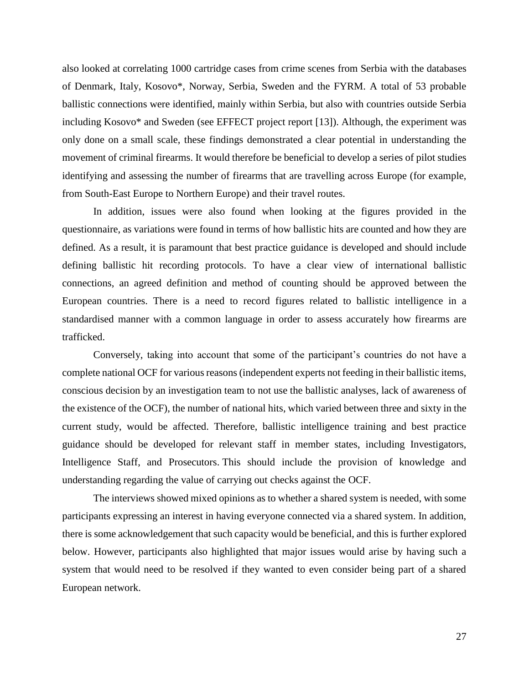also looked at correlating 1000 cartridge cases from crime scenes from Serbia with the databases of Denmark, Italy, Kosovo\*, Norway, Serbia, Sweden and the FYRM. A total of 53 probable ballistic connections were identified, mainly within Serbia, but also with countries outside Serbia including Kosovo\* and Sweden (see EFFECT project report [13]). Although, the experiment was only done on a small scale, these findings demonstrated a clear potential in understanding the movement of criminal firearms. It would therefore be beneficial to develop a series of pilot studies identifying and assessing the number of firearms that are travelling across Europe (for example, from South-East Europe to Northern Europe) and their travel routes.

In addition, issues were also found when looking at the figures provided in the questionnaire, as variations were found in terms of how ballistic hits are counted and how they are defined. As a result, it is paramount that best practice guidance is developed and should include defining ballistic hit recording protocols. To have a clear view of international ballistic connections, an agreed definition and method of counting should be approved between the European countries. There is a need to record figures related to ballistic intelligence in a standardised manner with a common language in order to assess accurately how firearms are trafficked.

Conversely, taking into account that some of the participant's countries do not have a complete national OCF for various reasons (independent experts not feeding in their ballistic items, conscious decision by an investigation team to not use the ballistic analyses, lack of awareness of the existence of the OCF), the number of national hits, which varied between three and sixty in the current study, would be affected. Therefore, ballistic intelligence training and best practice guidance should be developed for relevant staff in member states, including Investigators, Intelligence Staff, and Prosecutors. This should include the provision of knowledge and understanding regarding the value of carrying out checks against the OCF.

The interviews showed mixed opinions as to whether a shared system is needed, with some participants expressing an interest in having everyone connected via a shared system. In addition, there is some acknowledgement that such capacity would be beneficial, and this is further explored below. However, participants also highlighted that major issues would arise by having such a system that would need to be resolved if they wanted to even consider being part of a shared European network.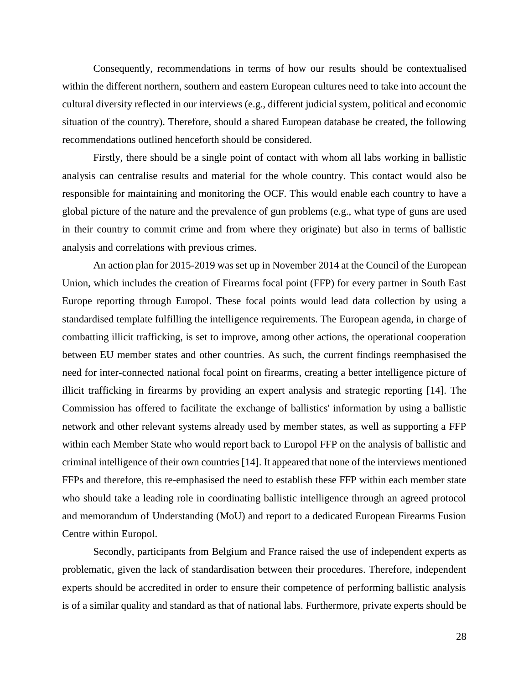Consequently, recommendations in terms of how our results should be contextualised within the different northern, southern and eastern European cultures need to take into account the cultural diversity reflected in our interviews (e.g., different judicial system, political and economic situation of the country). Therefore, should a shared European database be created, the following recommendations outlined henceforth should be considered.

Firstly, there should be a single point of contact with whom all labs working in ballistic analysis can centralise results and material for the whole country. This contact would also be responsible for maintaining and monitoring the OCF. This would enable each country to have a global picture of the nature and the prevalence of gun problems (e.g., what type of guns are used in their country to commit crime and from where they originate) but also in terms of ballistic analysis and correlations with previous crimes.

<span id="page-28-0"></span>An action plan for 2015-2019 was set up in November 2014 at the Council of the European Union, which includes the creation of Firearms focal point (FFP) for every partner in South East Europe reporting through Europol. These focal points would lead data collection by using a standardised template fulfilling the intelligence requirements. The European agenda, in charge of combatting illicit trafficking, is set to improve, among other actions, the operational cooperation between EU member states and other countries. As such, the current findings reemphasised the need for inter-connected national focal point on firearms, creating a better intelligence picture of illicit trafficking in firearms by providing an expert analysis and strategic reporting [14]. The Commission has offered to facilitate the exchange of ballistics' information by using a ballistic network and other relevant systems already used by member states, as well as supporting a FFP within each Member State who would report back to Europol FFP on the analysis of ballistic and criminal intelligence of their own countries [\[14\]](#page-28-0). It appeared that none of the interviews mentioned FFPs and therefore, this re-emphasised the need to establish these FFP within each member state who should take a leading role in coordinating ballistic intelligence through an agreed protocol and memorandum of Understanding (MoU) and report to a dedicated European Firearms Fusion Centre within Europol.

 Secondly, participants from Belgium and France raised the use of independent experts as problematic, given the lack of standardisation between their procedures. Therefore, independent experts should be accredited in order to ensure their competence of performing ballistic analysis is of a similar quality and standard as that of national labs. Furthermore, private experts should be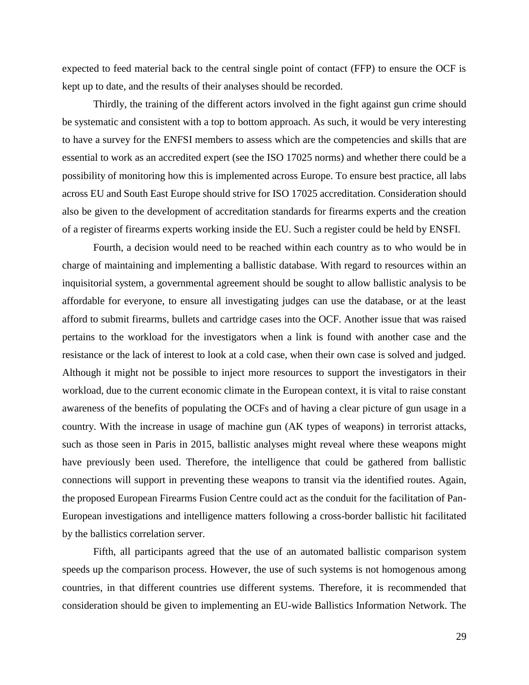expected to feed material back to the central single point of contact (FFP) to ensure the OCF is kept up to date, and the results of their analyses should be recorded.

 Thirdly, the training of the different actors involved in the fight against gun crime should be systematic and consistent with a top to bottom approach. As such, it would be very interesting to have a survey for the ENFSI members to assess which are the competencies and skills that are essential to work as an accredited expert (see the ISO 17025 norms) and whether there could be a possibility of monitoring how this is implemented across Europe. To ensure best practice, all labs across EU and South East Europe should strive for ISO 17025 accreditation. Consideration should also be given to the development of accreditation standards for firearms experts and the creation of a register of firearms experts working inside the EU. Such a register could be held by ENSFI.

Fourth, a decision would need to be reached within each country as to who would be in charge of maintaining and implementing a ballistic database. With regard to resources within an inquisitorial system, a governmental agreement should be sought to allow ballistic analysis to be affordable for everyone, to ensure all investigating judges can use the database, or at the least afford to submit firearms, bullets and cartridge cases into the OCF. Another issue that was raised pertains to the workload for the investigators when a link is found with another case and the resistance or the lack of interest to look at a cold case, when their own case is solved and judged. Although it might not be possible to inject more resources to support the investigators in their workload, due to the current economic climate in the European context, it is vital to raise constant awareness of the benefits of populating the OCFs and of having a clear picture of gun usage in a country. With the increase in usage of machine gun (AK types of weapons) in terrorist attacks, such as those seen in Paris in 2015, ballistic analyses might reveal where these weapons might have previously been used. Therefore, the intelligence that could be gathered from ballistic connections will support in preventing these weapons to transit via the identified routes. Again, the proposed European Firearms Fusion Centre could act as the conduit for the facilitation of Pan-European investigations and intelligence matters following a cross-border ballistic hit facilitated by the ballistics correlation server.

Fifth, all participants agreed that the use of an automated ballistic comparison system speeds up the comparison process. However, the use of such systems is not homogenous among countries, in that different countries use different systems. Therefore, it is recommended that consideration should be given to implementing an EU-wide Ballistics Information Network. The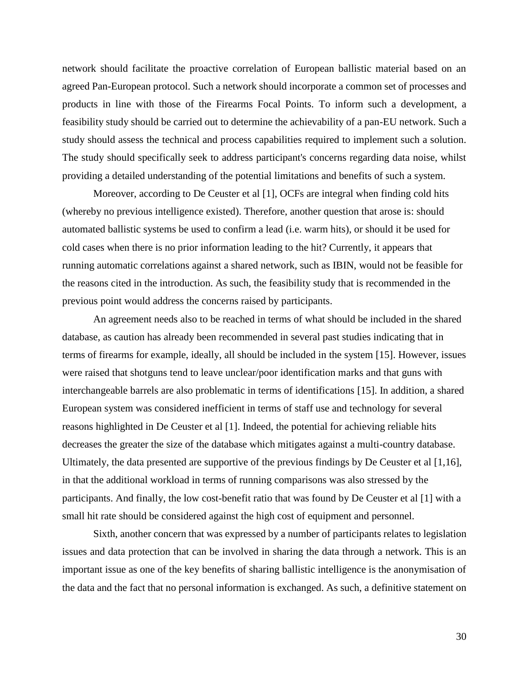network should facilitate the proactive correlation of European ballistic material based on an agreed Pan-European protocol. Such a network should incorporate a common set of processes and products in line with those of the Firearms Focal Points. To inform such a development, a feasibility study should be carried out to determine the achievability of a pan-EU network. Such a study should assess the technical and process capabilities required to implement such a solution. The study should specifically seek to address participant's concerns regarding data noise, whilst providing a detailed understanding of the potential limitations and benefits of such a system.

Moreover, according to De Ceuster et al [\[1\]](#page-5-0), OCFs are integral when finding cold hits (whereby no previous intelligence existed). Therefore, another question that arose is: should automated ballistic systems be used to confirm a lead (i.e. warm hits), or should it be used for cold cases when there is no prior information leading to the hit? Currently, it appears that running automatic correlations against a shared network, such as IBIN, would not be feasible for the reasons cited in the introduction. As such, the feasibility study that is recommended in the previous point would address the concerns raised by participants.

<span id="page-30-0"></span> An agreement needs also to be reached in terms of what should be included in the shared database, as caution has already been recommended in several past studies indicating that in terms of firearms for example, ideally, all should be included in the system [15]. However, issues were raised that shotguns tend to leave unclear/poor identification marks and that guns with interchangeable barrels are also problematic in terms of identifications [\[15\]](#page-30-0). In addition, a shared European system was considered inefficient in terms of staff use and technology for several reasons highlighted in De Ceuster et al [\[1\]](#page-5-0). Indeed, the potential for achieving reliable hits decreases the greater the size of the database which mitigates against a multi-country database. Ultimately, the data presented are supportive of the previous findings by De Ceuster et al [\[1,](#page-5-0)16], in that the additional workload in terms of running comparisons was also stressed by the participants. And finally, the low cost-benefit ratio that was found by De Ceuster et al [\[1\]](#page-5-0) with a small hit rate should be considered against the high cost of equipment and personnel.

Sixth, another concern that was expressed by a number of participants relates to legislation issues and data protection that can be involved in sharing the data through a network. This is an important issue as one of the key benefits of sharing ballistic intelligence is the anonymisation of the data and the fact that no personal information is exchanged. As such, a definitive statement on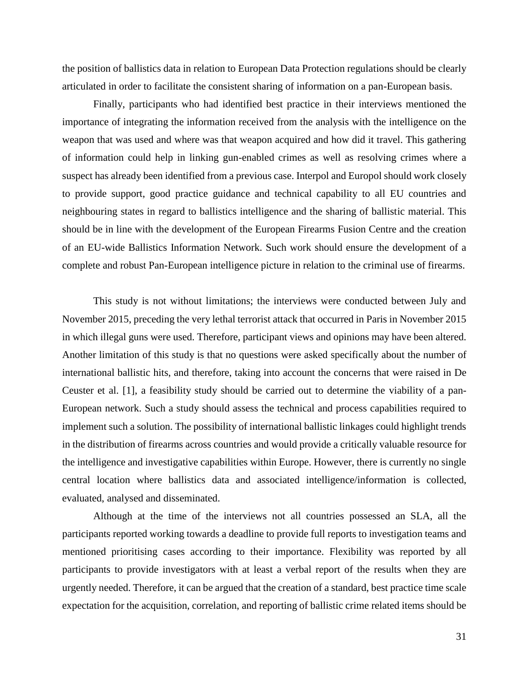the position of ballistics data in relation to European Data Protection regulations should be clearly articulated in order to facilitate the consistent sharing of information on a pan-European basis.

Finally, participants who had identified best practice in their interviews mentioned the importance of integrating the information received from the analysis with the intelligence on the weapon that was used and where was that weapon acquired and how did it travel. This gathering of information could help in linking gun-enabled crimes as well as resolving crimes where a suspect has already been identified from a previous case. Interpol and Europol should work closely to provide support, good practice guidance and technical capability to all EU countries and neighbouring states in regard to ballistics intelligence and the sharing of ballistic material. This should be in line with the development of the European Firearms Fusion Centre and the creation of an EU-wide Ballistics Information Network. Such work should ensure the development of a complete and robust Pan-European intelligence picture in relation to the criminal use of firearms.

 This study is not without limitations; the interviews were conducted between July and November 2015, preceding the very lethal terrorist attack that occurred in Paris in November 2015 in which illegal guns were used. Therefore, participant views and opinions may have been altered. Another limitation of this study is that no questions were asked specifically about the number of international ballistic hits, and therefore, taking into account the concerns that were raised in De Ceuster et al. [\[1\]](#page-5-0), a feasibility study should be carried out to determine the viability of a pan-European network. Such a study should assess the technical and process capabilities required to implement such a solution. The possibility of international ballistic linkages could highlight trends in the distribution of firearms across countries and would provide a critically valuable resource for the intelligence and investigative capabilities within Europe. However, there is currently no single central location where ballistics data and associated intelligence/information is collected, evaluated, analysed and disseminated.

Although at the time of the interviews not all countries possessed an SLA, all the participants reported working towards a deadline to provide full reports to investigation teams and mentioned prioritising cases according to their importance. Flexibility was reported by all participants to provide investigators with at least a verbal report of the results when they are urgently needed. Therefore, it can be argued that the creation of a standard, best practice time scale expectation for the acquisition, correlation, and reporting of ballistic crime related items should be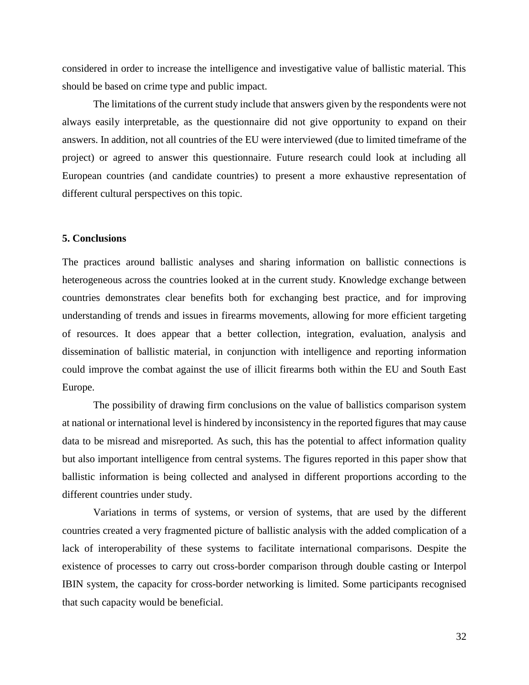considered in order to increase the intelligence and investigative value of ballistic material. This should be based on crime type and public impact.

The limitations of the current study include that answers given by the respondents were not always easily interpretable, as the questionnaire did not give opportunity to expand on their answers. In addition, not all countries of the EU were interviewed (due to limited timeframe of the project) or agreed to answer this questionnaire. Future research could look at including all European countries (and candidate countries) to present a more exhaustive representation of different cultural perspectives on this topic.

#### **5. Conclusions**

The practices around ballistic analyses and sharing information on ballistic connections is heterogeneous across the countries looked at in the current study. Knowledge exchange between countries demonstrates clear benefits both for exchanging best practice, and for improving understanding of trends and issues in firearms movements, allowing for more efficient targeting of resources. It does appear that a better collection, integration, evaluation, analysis and dissemination of ballistic material, in conjunction with intelligence and reporting information could improve the combat against the use of illicit firearms both within the EU and South East Europe.

 The possibility of drawing firm conclusions on the value of ballistics comparison system at national or international level is hindered by inconsistency in the reported figures that may cause data to be misread and misreported. As such, this has the potential to affect information quality but also important intelligence from central systems. The figures reported in this paper show that ballistic information is being collected and analysed in different proportions according to the different countries under study.

Variations in terms of systems, or version of systems, that are used by the different countries created a very fragmented picture of ballistic analysis with the added complication of a lack of interoperability of these systems to facilitate international comparisons. Despite the existence of processes to carry out cross-border comparison through double casting or Interpol IBIN system, the capacity for cross-border networking is limited. Some participants recognised that such capacity would be beneficial.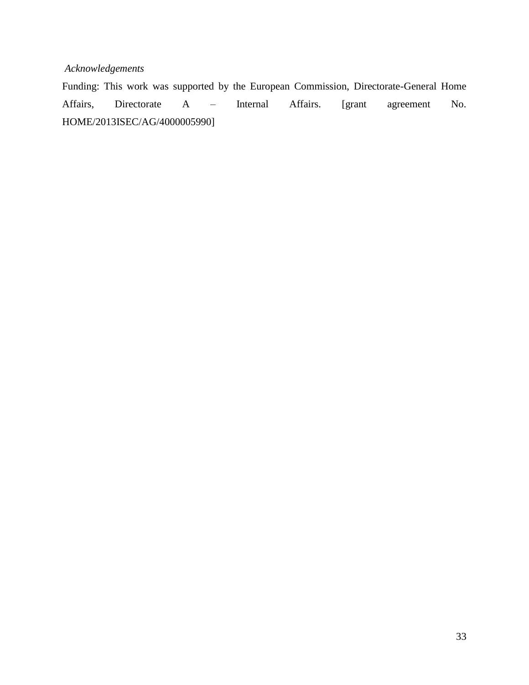*Acknowledgements* 

Funding: This work was supported by the European Commission, Directorate-General Home Affairs, Directorate A – Internal Affairs. [grant agreement No. HOME/2013ISEC/AG/4000005990]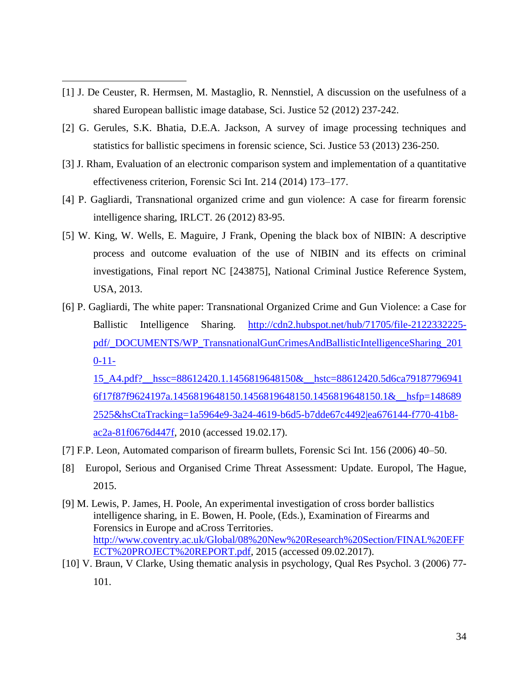[1] J. De Ceuster, R. Hermsen, M. Mastaglio, R. Nennstiel, A discussion on the usefulness of a shared European ballistic image database, Sci. Justice 52 (2012) 237-242.

 $\overline{a}$ 

- [2] G. Gerules, S.K. Bhatia, D.E.A. Jackson, A survey of image processing techniques and statistics for ballistic specimens in forensic science, Sci. Justice 53 (2013) 236-250.
- [3] J. Rham, Evaluation of an electronic comparison system and implementation of a quantitative effectiveness criterion, Forensic Sci Int. 214 (2014) 173–177.
- [4] P. Gagliardi, Transnational organized crime and gun violence: A case for firearm forensic intelligence sharing, IRLCT. 26 (2012) 83-95.
- [5] W. King, W. Wells, E. Maguire, J Frank, Opening the black box of NIBIN: A descriptive process and outcome evaluation of the use of NIBIN and its effects on criminal investigations, Final report NC [243875], National Criminal Justice Reference System, USA, 2013.
- [6] P. Gagliardi, The white paper: Transnational Organized Crime and Gun Violence: a Case for Ballistic Intelligence Sharing. [http://cdn2.hubspot.net/hub/71705/file-2122332225](http://cdn2.hubspot.net/hub/71705/file-2122332225-pdf/_DOCUMENTS/WP_TransnationalGunCrimesAndBallisticIntelligenceSharing_2010-11-15_A4.pdf?__hssc=88612420.1.1456819648150&__hstc=88612420.5d6ca791877969416f17f87f9624197a.1456819648150.1456819648150.1456819648150.1&__hsfp=1486892525&hsCtaTracking=1a5964e9-3a24-4619-b6d5-b7dde67c4492|ea676144-f770-41b8-ac2a-81f0676d447f) [pdf/\\_DOCUMENTS/WP\\_TransnationalGunCrimesAndBallisticIntelligenceSharing\\_201](http://cdn2.hubspot.net/hub/71705/file-2122332225-pdf/_DOCUMENTS/WP_TransnationalGunCrimesAndBallisticIntelligenceSharing_2010-11-15_A4.pdf?__hssc=88612420.1.1456819648150&__hstc=88612420.5d6ca791877969416f17f87f9624197a.1456819648150.1456819648150.1456819648150.1&__hsfp=1486892525&hsCtaTracking=1a5964e9-3a24-4619-b6d5-b7dde67c4492|ea676144-f770-41b8-ac2a-81f0676d447f) [0-11-](http://cdn2.hubspot.net/hub/71705/file-2122332225-pdf/_DOCUMENTS/WP_TransnationalGunCrimesAndBallisticIntelligenceSharing_2010-11-15_A4.pdf?__hssc=88612420.1.1456819648150&__hstc=88612420.5d6ca791877969416f17f87f9624197a.1456819648150.1456819648150.1456819648150.1&__hsfp=1486892525&hsCtaTracking=1a5964e9-3a24-4619-b6d5-b7dde67c4492|ea676144-f770-41b8-ac2a-81f0676d447f)

[15\\_A4.pdf?\\_\\_hssc=88612420.1.1456819648150&\\_\\_hstc=88612420.5d6ca79187796941](http://cdn2.hubspot.net/hub/71705/file-2122332225-pdf/_DOCUMENTS/WP_TransnationalGunCrimesAndBallisticIntelligenceSharing_2010-11-15_A4.pdf?__hssc=88612420.1.1456819648150&__hstc=88612420.5d6ca791877969416f17f87f9624197a.1456819648150.1456819648150.1456819648150.1&__hsfp=1486892525&hsCtaTracking=1a5964e9-3a24-4619-b6d5-b7dde67c4492|ea676144-f770-41b8-ac2a-81f0676d447f) [6f17f87f9624197a.1456819648150.1456819648150.1456819648150.1&\\_\\_hsfp=148689](http://cdn2.hubspot.net/hub/71705/file-2122332225-pdf/_DOCUMENTS/WP_TransnationalGunCrimesAndBallisticIntelligenceSharing_2010-11-15_A4.pdf?__hssc=88612420.1.1456819648150&__hstc=88612420.5d6ca791877969416f17f87f9624197a.1456819648150.1456819648150.1456819648150.1&__hsfp=1486892525&hsCtaTracking=1a5964e9-3a24-4619-b6d5-b7dde67c4492|ea676144-f770-41b8-ac2a-81f0676d447f) [2525&hsCtaTracking=1a5964e9-3a24-4619-b6d5-b7dde67c4492|ea676144-f770-41b8](http://cdn2.hubspot.net/hub/71705/file-2122332225-pdf/_DOCUMENTS/WP_TransnationalGunCrimesAndBallisticIntelligenceSharing_2010-11-15_A4.pdf?__hssc=88612420.1.1456819648150&__hstc=88612420.5d6ca791877969416f17f87f9624197a.1456819648150.1456819648150.1456819648150.1&__hsfp=1486892525&hsCtaTracking=1a5964e9-3a24-4619-b6d5-b7dde67c4492|ea676144-f770-41b8-ac2a-81f0676d447f) [ac2a-81f0676d447f,](http://cdn2.hubspot.net/hub/71705/file-2122332225-pdf/_DOCUMENTS/WP_TransnationalGunCrimesAndBallisticIntelligenceSharing_2010-11-15_A4.pdf?__hssc=88612420.1.1456819648150&__hstc=88612420.5d6ca791877969416f17f87f9624197a.1456819648150.1456819648150.1456819648150.1&__hsfp=1486892525&hsCtaTracking=1a5964e9-3a24-4619-b6d5-b7dde67c4492|ea676144-f770-41b8-ac2a-81f0676d447f) 2010 (accessed 19.02.17).

- [7] F.P. Leon, Automated comparison of firearm bullets, Forensic Sci Int. 156 (2006) 40–50.
- [8] Europol, Serious and Organised Crime Threat Assessment: Update*.* Europol, The Hague, 2015.
- [9] M. Lewis, P. James, H. Poole, An experimental investigation of cross border ballistics intelligence sharing, in E. Bowen, H. Poole, (Eds.), Examination of Firearms and Forensics in Europe and aCross Territories. [http://www.coventry.ac.uk/Global/08%20New%20Research%20Section/FINAL%20EFF](http://www.coventry.ac.uk/Global/08%20New%20Research%20Section/FINAL%20EFFECT%20PROJECT%20REPORT.pdf) [ECT%20PROJECT%20REPORT.pdf,](http://www.coventry.ac.uk/Global/08%20New%20Research%20Section/FINAL%20EFFECT%20PROJECT%20REPORT.pdf) 2015 (accessed 09.02.2017).
- [10] V. Braun, V Clarke, Using thematic analysis in psychology, Qual Res Psychol. 3 (2006) 77- 101.